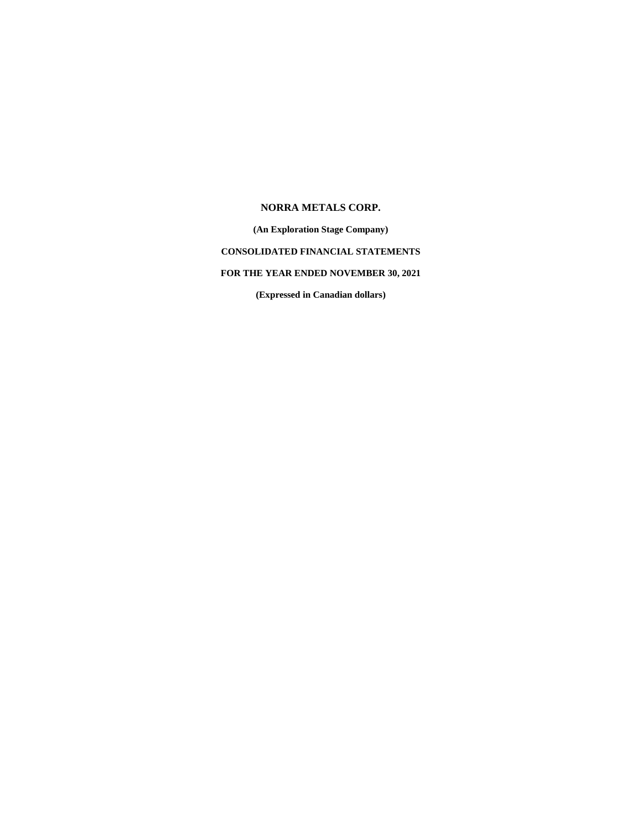**(An Exploration Stage Company)**

# **CONSOLIDATED FINANCIAL STATEMENTS**

# **FOR THE YEAR ENDED NOVEMBER 30, 2021**

**(Expressed in Canadian dollars)**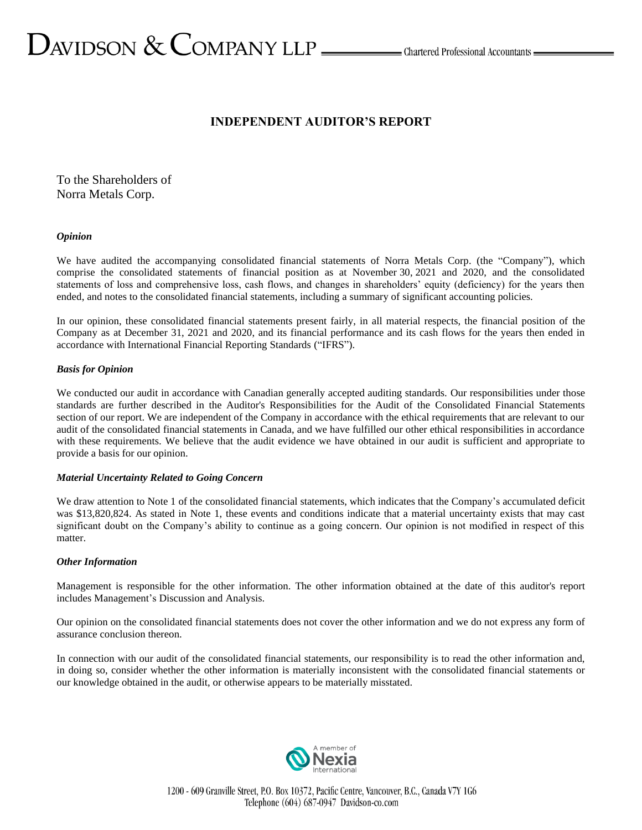# $D_{\text{AVIDSON}} \ \& \ \text{COMPANY LLP} \xrightarrow{\text{Charactered Professional Accountants}}$

# **INDEPENDENT AUDITOR'S REPORT**

To the Shareholders of Norra Metals Corp.

# *Opinion*

We have audited the accompanying consolidated financial statements of Norra Metals Corp. (the "Company"), which comprise the consolidated statements of financial position as at November 30, 2021 and 2020, and the consolidated statements of loss and comprehensive loss, cash flows, and changes in shareholders' equity (deficiency) for the years then ended, and notes to the consolidated financial statements, including a summary of significant accounting policies.

In our opinion, these consolidated financial statements present fairly, in all material respects, the financial position of the Company as at December 31, 2021 and 2020, and its financial performance and its cash flows for the years then ended in accordance with International Financial Reporting Standards ("IFRS").

# *Basis for Opinion*

We conducted our audit in accordance with Canadian generally accepted auditing standards. Our responsibilities under those standards are further described in the Auditor's Responsibilities for the Audit of the Consolidated Financial Statements section of our report. We are independent of the Company in accordance with the ethical requirements that are relevant to our audit of the consolidated financial statements in Canada, and we have fulfilled our other ethical responsibilities in accordance with these requirements. We believe that the audit evidence we have obtained in our audit is sufficient and appropriate to provide a basis for our opinion.

#### *Material Uncertainty Related to Going Concern*

We draw attention to Note 1 of the consolidated financial statements, which indicates that the Company's accumulated deficit was \$13,820,824. As stated in Note 1, these events and conditions indicate that a material uncertainty exists that may cast significant doubt on the Company's ability to continue as a going concern. Our opinion is not modified in respect of this matter.

#### *Other Information*

Management is responsible for the other information. The other information obtained at the date of this auditor's report includes Management's Discussion and Analysis.

Our opinion on the consolidated financial statements does not cover the other information and we do not express any form of assurance conclusion thereon.

In connection with our audit of the consolidated financial statements, our responsibility is to read the other information and, in doing so, consider whether the other information is materially inconsistent with the consolidated financial statements or our knowledge obtained in the audit, or otherwise appears to be materially misstated.

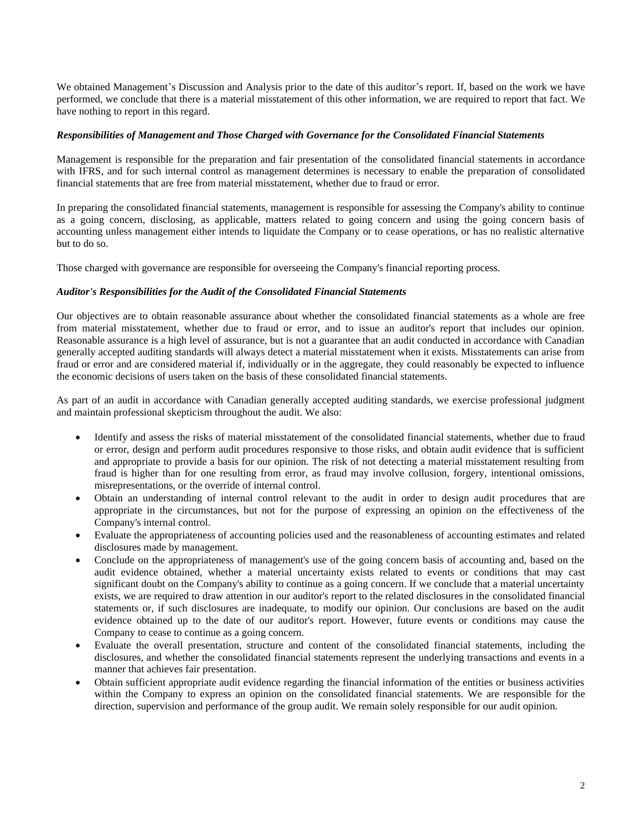We obtained Management's Discussion and Analysis prior to the date of this auditor's report. If, based on the work we have performed, we conclude that there is a material misstatement of this other information, we are required to report that fact. We have nothing to report in this regard.

# *Responsibilities of Management and Those Charged with Governance for the Consolidated Financial Statements*

Management is responsible for the preparation and fair presentation of the consolidated financial statements in accordance with IFRS, and for such internal control as management determines is necessary to enable the preparation of consolidated financial statements that are free from material misstatement, whether due to fraud or error.

In preparing the consolidated financial statements, management is responsible for assessing the Company's ability to continue as a going concern, disclosing, as applicable, matters related to going concern and using the going concern basis of accounting unless management either intends to liquidate the Company or to cease operations, or has no realistic alternative but to do so.

Those charged with governance are responsible for overseeing the Company's financial reporting process.

# *Auditor's Responsibilities for the Audit of the Consolidated Financial Statements*

Our objectives are to obtain reasonable assurance about whether the consolidated financial statements as a whole are free from material misstatement, whether due to fraud or error, and to issue an auditor's report that includes our opinion. Reasonable assurance is a high level of assurance, but is not a guarantee that an audit conducted in accordance with Canadian generally accepted auditing standards will always detect a material misstatement when it exists. Misstatements can arise from fraud or error and are considered material if, individually or in the aggregate, they could reasonably be expected to influence the economic decisions of users taken on the basis of these consolidated financial statements.

As part of an audit in accordance with Canadian generally accepted auditing standards, we exercise professional judgment and maintain professional skepticism throughout the audit. We also:

- Identify and assess the risks of material misstatement of the consolidated financial statements, whether due to fraud or error, design and perform audit procedures responsive to those risks, and obtain audit evidence that is sufficient and appropriate to provide a basis for our opinion. The risk of not detecting a material misstatement resulting from fraud is higher than for one resulting from error, as fraud may involve collusion, forgery, intentional omissions, misrepresentations, or the override of internal control.
- Obtain an understanding of internal control relevant to the audit in order to design audit procedures that are appropriate in the circumstances, but not for the purpose of expressing an opinion on the effectiveness of the Company's internal control.
- Evaluate the appropriateness of accounting policies used and the reasonableness of accounting estimates and related disclosures made by management.
- Conclude on the appropriateness of management's use of the going concern basis of accounting and, based on the audit evidence obtained, whether a material uncertainty exists related to events or conditions that may cast significant doubt on the Company's ability to continue as a going concern. If we conclude that a material uncertainty exists, we are required to draw attention in our auditor's report to the related disclosures in the consolidated financial statements or, if such disclosures are inadequate, to modify our opinion. Our conclusions are based on the audit evidence obtained up to the date of our auditor's report. However, future events or conditions may cause the Company to cease to continue as a going concern.
- Evaluate the overall presentation, structure and content of the consolidated financial statements, including the disclosures, and whether the consolidated financial statements represent the underlying transactions and events in a manner that achieves fair presentation.
- Obtain sufficient appropriate audit evidence regarding the financial information of the entities or business activities within the Company to express an opinion on the consolidated financial statements. We are responsible for the direction, supervision and performance of the group audit. We remain solely responsible for our audit opinion.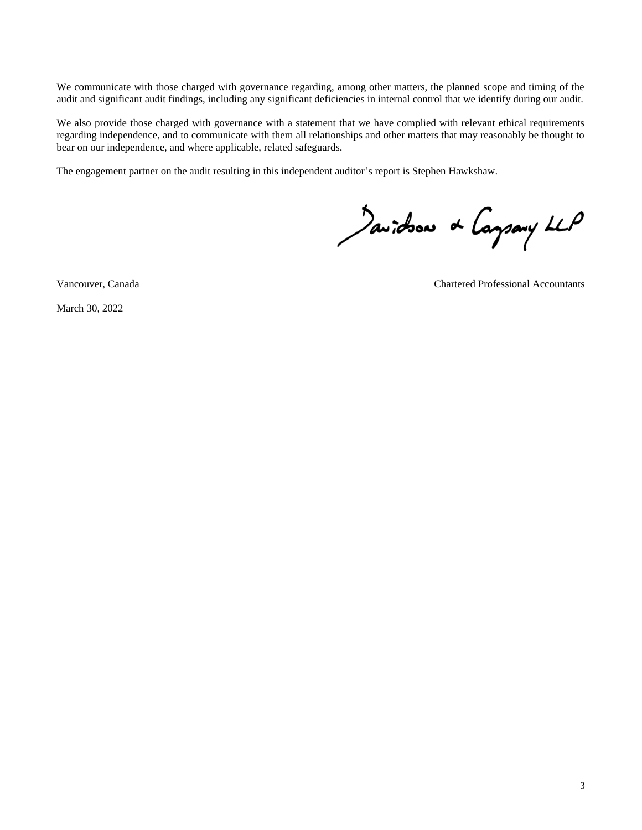We communicate with those charged with governance regarding, among other matters, the planned scope and timing of the audit and significant audit findings, including any significant deficiencies in internal control that we identify during our audit.

We also provide those charged with governance with a statement that we have complied with relevant ethical requirements regarding independence, and to communicate with them all relationships and other matters that may reasonably be thought to bear on our independence, and where applicable, related safeguards.

The engagement partner on the audit resulting in this independent auditor's report is Stephen Hawkshaw.

Javidson & Caysary LLP

March 30, 2022

Vancouver, Canada Chartered Professional Accountants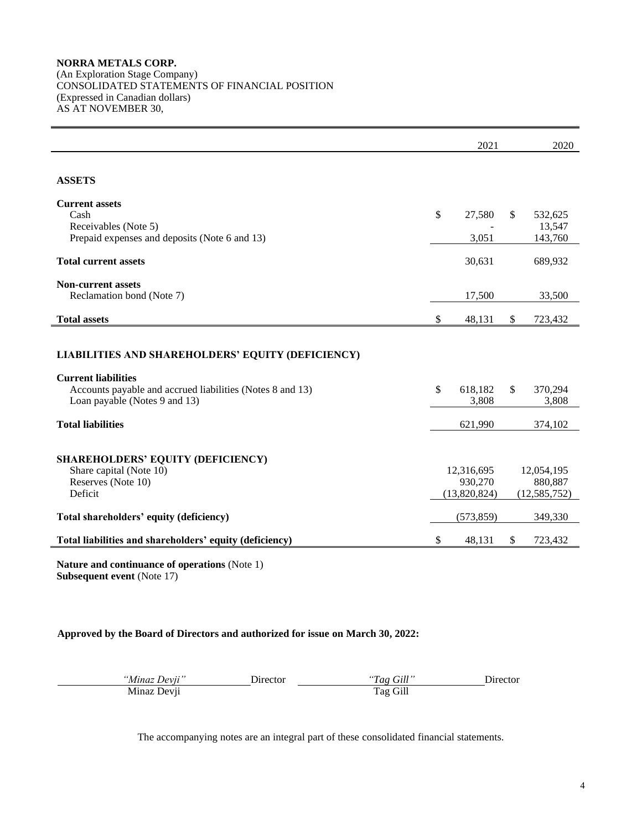(An Exploration Stage Company) CONSOLIDATED STATEMENTS OF FINANCIAL POSITION (Expressed in Canadian dollars) AS AT NOVEMBER 30,

|                                                                                                                                                                               | 2021         |                                       |     | 2020                                    |
|-------------------------------------------------------------------------------------------------------------------------------------------------------------------------------|--------------|---------------------------------------|-----|-----------------------------------------|
|                                                                                                                                                                               |              |                                       |     |                                         |
| <b>ASSETS</b>                                                                                                                                                                 |              |                                       |     |                                         |
| <b>Current assets</b><br>Cash<br>Receivables (Note 5)<br>Prepaid expenses and deposits (Note 6 and 13)                                                                        | $\mathbb{S}$ | 27,580<br>3,051                       | \$. | 532,625<br>13,547<br>143,760            |
| <b>Total current assets</b>                                                                                                                                                   |              | 30,631                                |     | 689,932                                 |
| <b>Non-current assets</b><br>Reclamation bond (Note 7)                                                                                                                        |              | 17,500                                |     | 33,500                                  |
| <b>Total assets</b>                                                                                                                                                           | \$           | 48,131                                | \$  | 723,432                                 |
| LIABILITIES AND SHAREHOLDERS' EQUITY (DEFICIENCY)<br><b>Current liabilities</b><br>Accounts payable and accrued liabilities (Notes 8 and 13)<br>Loan payable (Notes 9 and 13) | \$           | 618,182<br>3,808                      | \$  | 370,294<br>3,808                        |
| <b>Total liabilities</b>                                                                                                                                                      |              | 621,990                               |     | 374,102                                 |
| <b>SHAREHOLDERS' EQUITY (DEFICIENCY)</b><br>Share capital (Note 10)<br>Reserves (Note 10)<br>Deficit                                                                          |              | 12,316,695<br>930,270<br>(13,820,824) |     | 12,054,195<br>880,887<br>(12, 585, 752) |
| Total shareholders' equity (deficiency)                                                                                                                                       |              | (573, 859)                            |     | 349,330                                 |
| Total liabilities and shareholders' equity (deficiency)                                                                                                                       | \$           | 48,131                                | \$. | 723,432                                 |

**Nature and continuance of operations** (Note 1) **Subsequent event** (Note 17)

# **Approved by the Board of Directors and authorized for issue on March 30, 2022:**

| "Minaz Devii" | <b>Jirector</b> | "Tag Gill" | <b>Director</b> |
|---------------|-----------------|------------|-----------------|
| Minaz Devii   |                 | Tag Gill   |                 |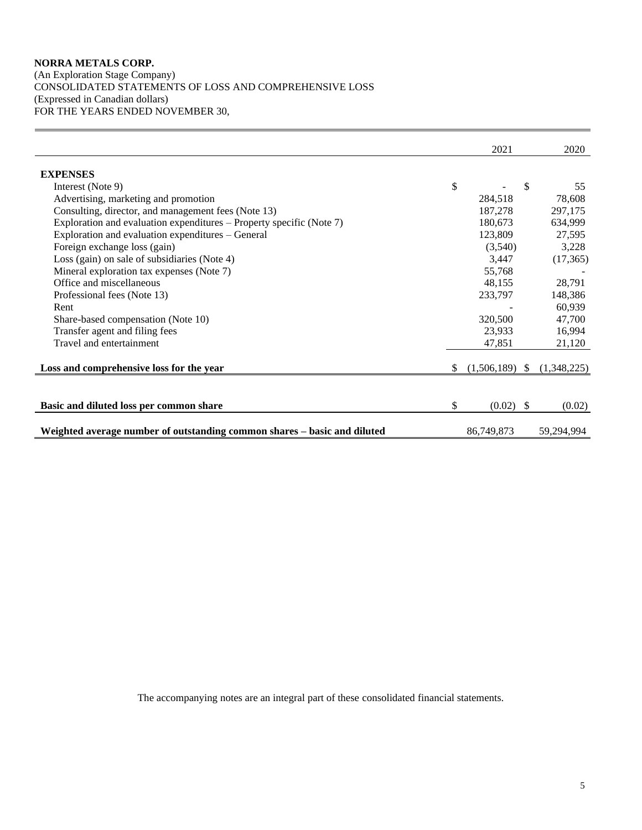(An Exploration Stage Company) CONSOLIDATED STATEMENTS OF LOSS AND COMPREHENSIVE LOSS (Expressed in Canadian dollars) FOR THE YEARS ENDED NOVEMBER 30,

|                                                                          | 2021                   | 2020        |
|--------------------------------------------------------------------------|------------------------|-------------|
| <b>EXPENSES</b>                                                          |                        |             |
| Interest (Note 9)                                                        | \$                     | \$<br>55    |
| Advertising, marketing and promotion                                     | 284,518                | 78,608      |
| Consulting, director, and management fees (Note 13)                      | 187,278                | 297,175     |
| Exploration and evaluation expenditures $-$ Property specific (Note 7)   | 180,673                | 634,999     |
| Exploration and evaluation expenditures – General                        | 123,809                | 27,595      |
| Foreign exchange loss (gain)                                             | (3,540)                | 3,228       |
| Loss (gain) on sale of subsidiaries (Note 4)                             | 3,447                  | (17,365)    |
| Mineral exploration tax expenses (Note 7)                                | 55,768                 |             |
| Office and miscellaneous                                                 | 48,155                 | 28,791      |
| Professional fees (Note 13)                                              | 233,797                | 148,386     |
| Rent                                                                     |                        | 60,939      |
| Share-based compensation (Note 10)                                       | 320,500                | 47,700      |
| Transfer agent and filing fees                                           | 23,933                 | 16,994      |
| Travel and entertainment                                                 | 47,851                 | 21,120      |
| Loss and comprehensive loss for the year                                 | \$<br>$(1,506,189)$ \$ | (1,348,225) |
|                                                                          |                        |             |
| Basic and diluted loss per common share                                  | \$<br>$(0.02)$ \$      | (0.02)      |
| Weighted average number of outstanding common shares – basic and diluted | 86,749,873             | 59,294,994  |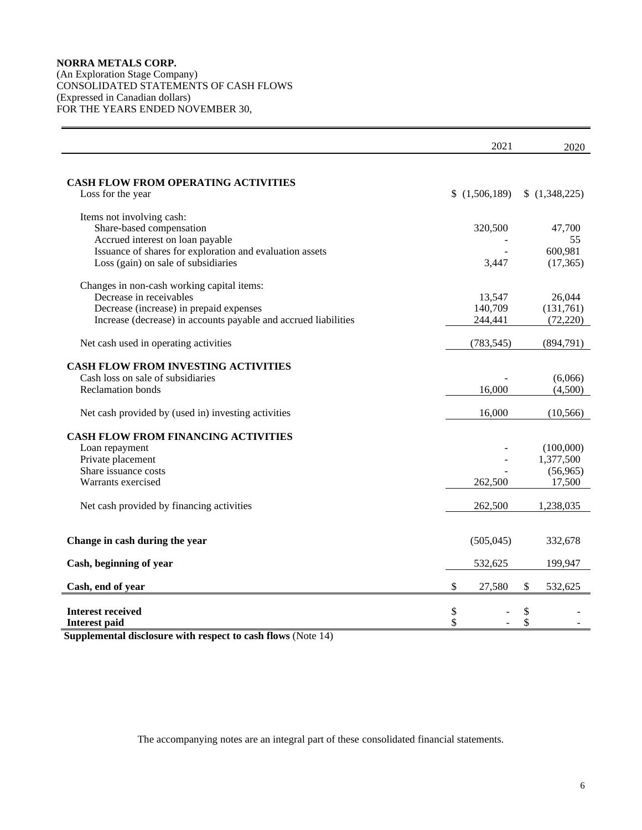(An Exploration Stage Company) CONSOLIDATED STATEMENTS OF CASH FLOWS (Expressed in Canadian dollars) FOR THE YEARS ENDED NOVEMBER 30,

|                                                                                 |          | 2021        |          | 2020               |
|---------------------------------------------------------------------------------|----------|-------------|----------|--------------------|
|                                                                                 |          |             |          |                    |
| <b>CASH FLOW FROM OPERATING ACTIVITIES</b>                                      |          |             |          |                    |
| Loss for the year                                                               |          | (1,506,189) |          | (1,348,225)        |
| Items not involving cash:                                                       |          |             |          |                    |
| Share-based compensation                                                        |          | 320,500     |          | 47,700             |
| Accrued interest on loan payable                                                |          |             |          | 55                 |
| Issuance of shares for exploration and evaluation assets                        |          |             |          | 600,981            |
| Loss (gain) on sale of subsidiaries                                             |          | 3,447       |          | (17, 365)          |
| Changes in non-cash working capital items:                                      |          |             |          |                    |
| Decrease in receivables                                                         |          | 13,547      |          | 26,044             |
| Decrease (increase) in prepaid expenses                                         |          | 140,709     |          | (131,761)          |
| Increase (decrease) in accounts payable and accrued liabilities                 |          | 244,441     |          | (72, 220)          |
| Net cash used in operating activities                                           |          | (783, 545)  |          | (894,791)          |
|                                                                                 |          |             |          |                    |
| <b>CASH FLOW FROM INVESTING ACTIVITIES</b><br>Cash loss on sale of subsidiaries |          |             |          |                    |
| <b>Reclamation</b> bonds                                                        |          | 16,000      |          | (6,066)<br>(4,500) |
|                                                                                 |          |             |          |                    |
| Net cash provided by (used in) investing activities                             |          | 16,000      |          | (10, 566)          |
| <b>CASH FLOW FROM FINANCING ACTIVITIES</b>                                      |          |             |          |                    |
| Loan repayment                                                                  |          |             |          | (100,000)          |
| Private placement                                                               |          |             |          | 1,377,500          |
| Share issuance costs                                                            |          |             |          | (56,965)           |
| Warrants exercised                                                              |          | 262,500     |          | 17,500             |
| Net cash provided by financing activities                                       |          | 262,500     |          | 1,238,035          |
|                                                                                 |          |             |          |                    |
| Change in cash during the year                                                  |          | (505, 045)  |          | 332,678            |
|                                                                                 |          |             |          |                    |
| Cash, beginning of year                                                         |          | 532,625     |          | 199,947            |
| Cash, end of year                                                               | \$       | 27,580      | \$       | 532,625            |
|                                                                                 |          |             |          |                    |
| <b>Interest received</b><br>Interest paid                                       | \$<br>\$ |             | \$<br>\$ |                    |
|                                                                                 |          |             |          |                    |

**Supplemental disclosure with respect to cash flows** (Note 14)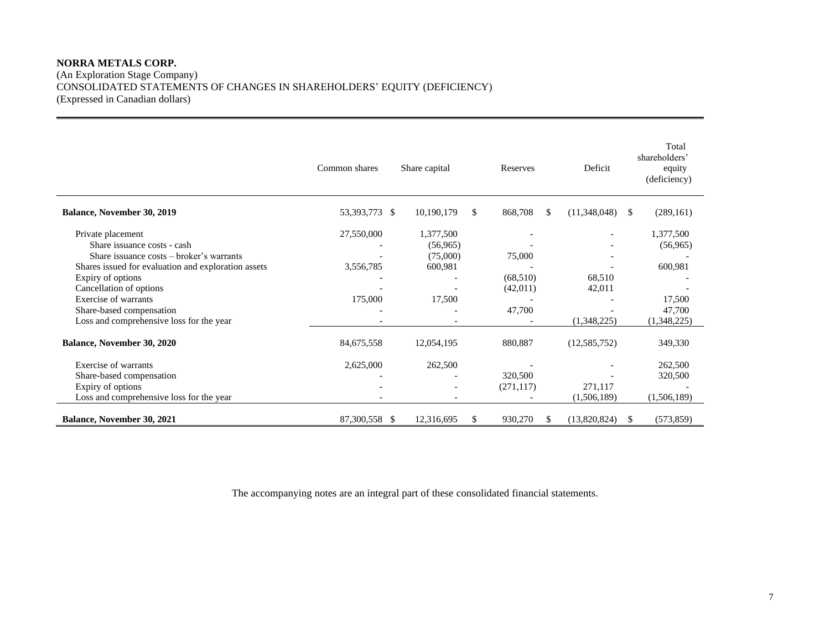(An Exploration Stage Company) CONSOLIDATED STATEMENTS OF CHANGES IN SHAREHOLDERS' EQUITY (DEFICIENCY) (Expressed in Canadian dollars)

|                                                     | Common shares | Share capital |               | Reserves   |    | Deficit      |    | Total<br>shareholders'<br>equity<br>(deficiency) |
|-----------------------------------------------------|---------------|---------------|---------------|------------|----|--------------|----|--------------------------------------------------|
| <b>Balance, November 30, 2019</b>                   | 53,393,773 \$ | 10,190,179    | <sup>\$</sup> | 868,708    | \$ | (11,348,048) | \$ | (289, 161)                                       |
| Private placement                                   | 27,550,000    | 1,377,500     |               |            |    |              |    | 1,377,500                                        |
| Share issuance costs - cash                         |               | (56,965)      |               |            |    |              |    | (56,965)                                         |
| Share issuance costs – broker's warrants            |               | (75,000)      |               | 75,000     |    |              |    |                                                  |
| Shares issued for evaluation and exploration assets | 3,556,785     | 600,981       |               |            |    |              |    | 600,981                                          |
| Expiry of options                                   |               |               |               | (68, 510)  |    | 68,510       |    |                                                  |
| Cancellation of options                             |               |               |               | (42,011)   |    | 42,011       |    |                                                  |
| Exercise of warrants                                | 175,000       | 17,500        |               |            |    |              |    | 17,500                                           |
| Share-based compensation                            |               |               |               | 47,700     |    |              |    | 47,700                                           |
| Loss and comprehensive loss for the year            |               |               |               |            |    | (1,348,225)  |    | (1,348,225)                                      |
| Balance, November 30, 2020                          | 84,675,558    | 12,054,195    |               | 880,887    |    | (12,585,752) |    | 349,330                                          |
| Exercise of warrants                                | 2,625,000     | 262,500       |               |            |    |              |    | 262,500                                          |
| Share-based compensation                            |               |               |               | 320,500    |    |              |    | 320,500                                          |
| Expiry of options                                   |               |               |               | (271, 117) |    | 271,117      |    |                                                  |
| Loss and comprehensive loss for the year            |               |               |               |            |    | (1,506,189)  |    | (1,506,189)                                      |
| Balance, November 30, 2021                          | 87,300,558 \$ | 12,316,695    | \$.           | 930,270    | S. | (13,820,824) | S  | (573, 859)                                       |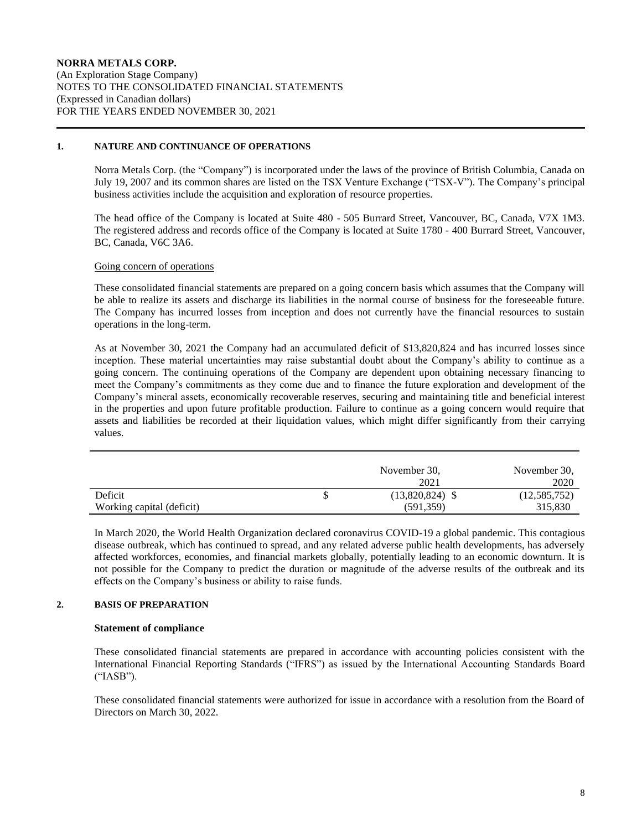(An Exploration Stage Company) NOTES TO THE CONSOLIDATED FINANCIAL STATEMENTS (Expressed in Canadian dollars) FOR THE YEARS ENDED NOVEMBER 30, 2021

#### **1. NATURE AND CONTINUANCE OF OPERATIONS**

Norra Metals Corp. (the "Company") is incorporated under the laws of the province of British Columbia, Canada on July 19, 2007 and its common shares are listed on the TSX Venture Exchange ("TSX-V"). The Company's principal business activities include the acquisition and exploration of resource properties.

The head office of the Company is located at Suite 480 - 505 Burrard Street, Vancouver, BC, Canada, V7X 1M3. The registered address and records office of the Company is located at Suite 1780 - 400 Burrard Street, Vancouver, BC, Canada, V6C 3A6.

#### Going concern of operations

These consolidated financial statements are prepared on a going concern basis which assumes that the Company will be able to realize its assets and discharge its liabilities in the normal course of business for the foreseeable future. The Company has incurred losses from inception and does not currently have the financial resources to sustain operations in the long-term.

As at November 30, 2021 the Company had an accumulated deficit of \$13,820,824 and has incurred losses since inception. These material uncertainties may raise substantial doubt about the Company's ability to continue as a going concern. The continuing operations of the Company are dependent upon obtaining necessary financing to meet the Company's commitments as they come due and to finance the future exploration and development of the Company's mineral assets, economically recoverable reserves, securing and maintaining title and beneficial interest in the properties and upon future profitable production. Failure to continue as a going concern would require that assets and liabilities be recorded at their liquidation values, which might differ significantly from their carrying values.

|                           | November 30,      | November 30,   |
|---------------------------|-------------------|----------------|
|                           | 2021              | 2020           |
| Deficit                   | $(13,820,824)$ \$ | (12, 585, 752) |
| Working capital (deficit) | (591, 359)        | 315,830        |

In March 2020, the World Health Organization declared coronavirus COVID-19 a global pandemic. This contagious disease outbreak, which has continued to spread, and any related adverse public health developments, has adversely affected workforces, economies, and financial markets globally, potentially leading to an economic downturn. It is not possible for the Company to predict the duration or magnitude of the adverse results of the outbreak and its effects on the Company's business or ability to raise funds.

#### **2. BASIS OF PREPARATION**

#### **Statement of compliance**

These consolidated financial statements are prepared in accordance with accounting policies consistent with the International Financial Reporting Standards ("IFRS") as issued by the International Accounting Standards Board ("IASB").

These consolidated financial statements were authorized for issue in accordance with a resolution from the Board of Directors on March 30, 2022.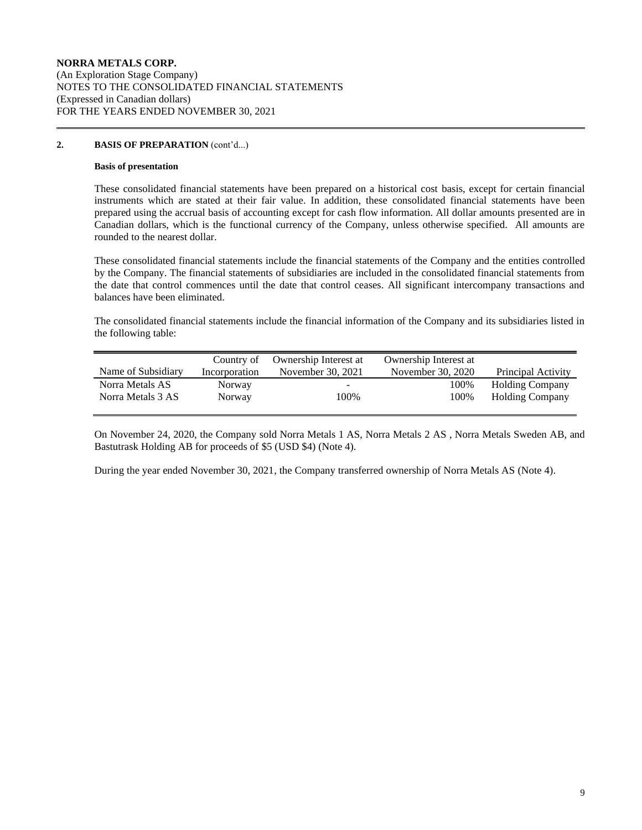(An Exploration Stage Company) NOTES TO THE CONSOLIDATED FINANCIAL STATEMENTS (Expressed in Canadian dollars) FOR THE YEARS ENDED NOVEMBER 30, 2021

# **2. BASIS OF PREPARATION** (cont'd...)

# **Basis of presentation**

These consolidated financial statements have been prepared on a historical cost basis, except for certain financial instruments which are stated at their fair value. In addition, these consolidated financial statements have been prepared using the accrual basis of accounting except for cash flow information. All dollar amounts presented are in Canadian dollars, which is the functional currency of the Company, unless otherwise specified. All amounts are rounded to the nearest dollar.

These consolidated financial statements include the financial statements of the Company and the entities controlled by the Company. The financial statements of subsidiaries are included in the consolidated financial statements from the date that control commences until the date that control ceases. All significant intercompany transactions and balances have been eliminated.

The consolidated financial statements include the financial information of the Company and its subsidiaries listed in the following table:

| Name of Subsidiary | Country of<br>Incorporation | Ownership Interest at<br>November 30, 2021 | Ownership Interest at<br>November 30, 2020 | Principal Activity     |
|--------------------|-----------------------------|--------------------------------------------|--------------------------------------------|------------------------|
| Norra Metals AS    | Norway                      | 100%                                       | 100%                                       | <b>Holding Company</b> |
| Norra Metals 3 AS  | Norway                      |                                            | 100%                                       | <b>Holding Company</b> |

On November 24, 2020, the Company sold Norra Metals 1 AS, Norra Metals 2 AS , Norra Metals Sweden AB, and Bastutrask Holding AB for proceeds of \$5 (USD \$4) (Note 4).

During the year ended November 30, 2021, the Company transferred ownership of Norra Metals AS (Note 4).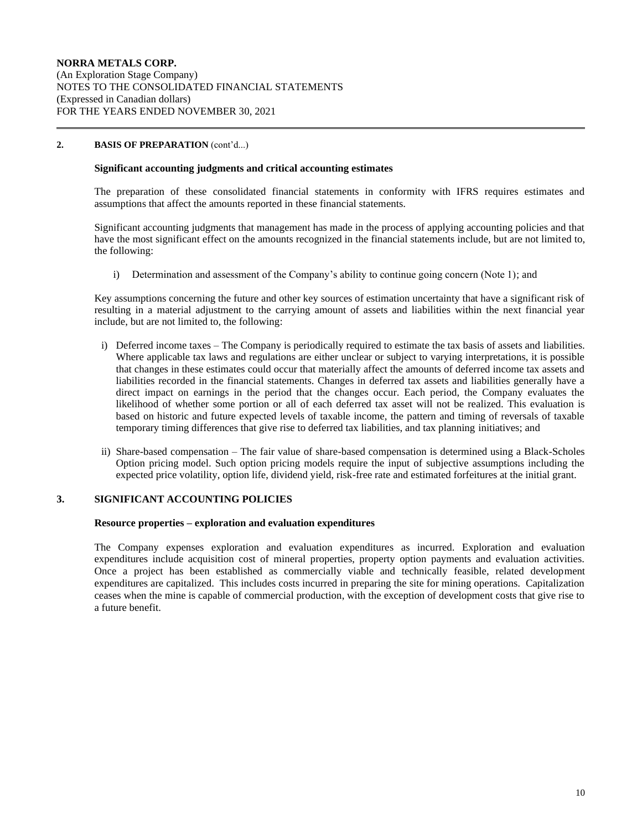(An Exploration Stage Company) NOTES TO THE CONSOLIDATED FINANCIAL STATEMENTS (Expressed in Canadian dollars) FOR THE YEARS ENDED NOVEMBER 30, 2021

# **2. BASIS OF PREPARATION** (cont'd...)

#### **Significant accounting judgments and critical accounting estimates**

The preparation of these consolidated financial statements in conformity with IFRS requires estimates and assumptions that affect the amounts reported in these financial statements.

Significant accounting judgments that management has made in the process of applying accounting policies and that have the most significant effect on the amounts recognized in the financial statements include, but are not limited to, the following:

i) Determination and assessment of the Company's ability to continue going concern (Note 1); and

Key assumptions concerning the future and other key sources of estimation uncertainty that have a significant risk of resulting in a material adjustment to the carrying amount of assets and liabilities within the next financial year include, but are not limited to, the following:

- i) Deferred income taxes The Company is periodically required to estimate the tax basis of assets and liabilities. Where applicable tax laws and regulations are either unclear or subject to varying interpretations, it is possible that changes in these estimates could occur that materially affect the amounts of deferred income tax assets and liabilities recorded in the financial statements. Changes in deferred tax assets and liabilities generally have a direct impact on earnings in the period that the changes occur. Each period, the Company evaluates the likelihood of whether some portion or all of each deferred tax asset will not be realized. This evaluation is based on historic and future expected levels of taxable income, the pattern and timing of reversals of taxable temporary timing differences that give rise to deferred tax liabilities, and tax planning initiatives; and
- ii) Share-based compensation The fair value of share-based compensation is determined using a Black-Scholes Option pricing model. Such option pricing models require the input of subjective assumptions including the expected price volatility, option life, dividend yield, risk-free rate and estimated forfeitures at the initial grant.

# **3. SIGNIFICANT ACCOUNTING POLICIES**

#### **Resource properties – exploration and evaluation expenditures**

The Company expenses exploration and evaluation expenditures as incurred. Exploration and evaluation expenditures include acquisition cost of mineral properties, property option payments and evaluation activities. Once a project has been established as commercially viable and technically feasible, related development expenditures are capitalized. This includes costs incurred in preparing the site for mining operations. Capitalization ceases when the mine is capable of commercial production, with the exception of development costs that give rise to a future benefit.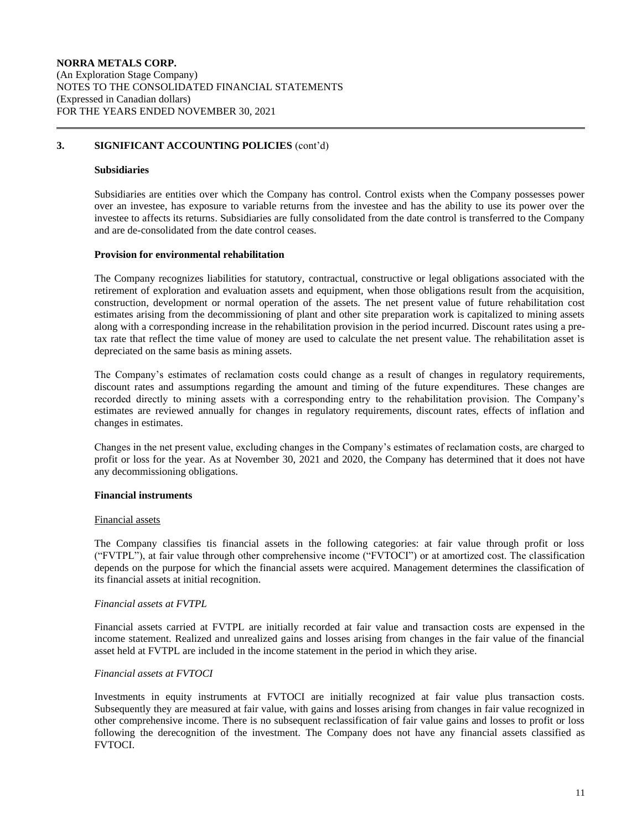(An Exploration Stage Company) NOTES TO THE CONSOLIDATED FINANCIAL STATEMENTS (Expressed in Canadian dollars) FOR THE YEARS ENDED NOVEMBER 30, 2021

# **3. SIGNIFICANT ACCOUNTING POLICIES** (cont'd)

#### **Subsidiaries**

Subsidiaries are entities over which the Company has control. Control exists when the Company possesses power over an investee, has exposure to variable returns from the investee and has the ability to use its power over the investee to affects its returns. Subsidiaries are fully consolidated from the date control is transferred to the Company and are de-consolidated from the date control ceases.

#### **Provision for environmental rehabilitation**

The Company recognizes liabilities for statutory, contractual, constructive or legal obligations associated with the retirement of exploration and evaluation assets and equipment, when those obligations result from the acquisition, construction, development or normal operation of the assets. The net present value of future rehabilitation cost estimates arising from the decommissioning of plant and other site preparation work is capitalized to mining assets along with a corresponding increase in the rehabilitation provision in the period incurred. Discount rates using a pretax rate that reflect the time value of money are used to calculate the net present value. The rehabilitation asset is depreciated on the same basis as mining assets.

The Company's estimates of reclamation costs could change as a result of changes in regulatory requirements, discount rates and assumptions regarding the amount and timing of the future expenditures. These changes are recorded directly to mining assets with a corresponding entry to the rehabilitation provision. The Company's estimates are reviewed annually for changes in regulatory requirements, discount rates, effects of inflation and changes in estimates.

Changes in the net present value, excluding changes in the Company's estimates of reclamation costs, are charged to profit or loss for the year. As at November 30, 2021 and 2020, the Company has determined that it does not have any decommissioning obligations.

#### **Financial instruments**

#### Financial assets

The Company classifies tis financial assets in the following categories: at fair value through profit or loss ("FVTPL"), at fair value through other comprehensive income ("FVTOCI") or at amortized cost. The classification depends on the purpose for which the financial assets were acquired. Management determines the classification of its financial assets at initial recognition.

# *Financial assets at FVTPL*

Financial assets carried at FVTPL are initially recorded at fair value and transaction costs are expensed in the income statement. Realized and unrealized gains and losses arising from changes in the fair value of the financial asset held at FVTPL are included in the income statement in the period in which they arise.

#### *Financial assets at FVTOCI*

Investments in equity instruments at FVTOCI are initially recognized at fair value plus transaction costs. Subsequently they are measured at fair value, with gains and losses arising from changes in fair value recognized in other comprehensive income. There is no subsequent reclassification of fair value gains and losses to profit or loss following the derecognition of the investment. The Company does not have any financial assets classified as FVTOCI.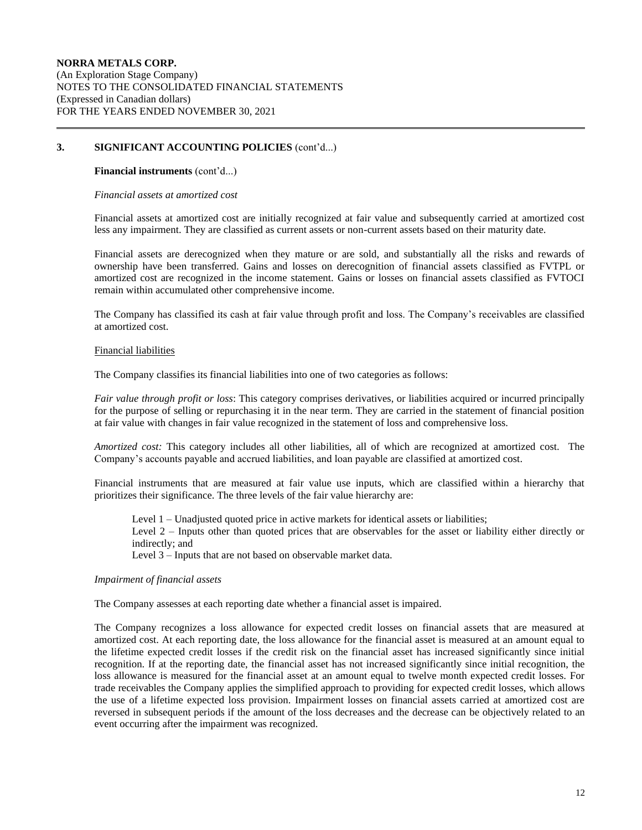(An Exploration Stage Company) NOTES TO THE CONSOLIDATED FINANCIAL STATEMENTS (Expressed in Canadian dollars) FOR THE YEARS ENDED NOVEMBER 30, 2021

# **3. SIGNIFICANT ACCOUNTING POLICIES** (cont'd...)

#### **Financial instruments** (cont'd...)

#### *Financial assets at amortized cost*

Financial assets at amortized cost are initially recognized at fair value and subsequently carried at amortized cost less any impairment. They are classified as current assets or non-current assets based on their maturity date.

Financial assets are derecognized when they mature or are sold, and substantially all the risks and rewards of ownership have been transferred. Gains and losses on derecognition of financial assets classified as FVTPL or amortized cost are recognized in the income statement. Gains or losses on financial assets classified as FVTOCI remain within accumulated other comprehensive income.

The Company has classified its cash at fair value through profit and loss. The Company's receivables are classified at amortized cost.

#### Financial liabilities

The Company classifies its financial liabilities into one of two categories as follows:

*Fair value through profit or loss*: This category comprises derivatives, or liabilities acquired or incurred principally for the purpose of selling or repurchasing it in the near term. They are carried in the statement of financial position at fair value with changes in fair value recognized in the statement of loss and comprehensive loss.

*Amortized cost:* This category includes all other liabilities, all of which are recognized at amortized cost. The Company's accounts payable and accrued liabilities, and loan payable are classified at amortized cost.

Financial instruments that are measured at fair value use inputs, which are classified within a hierarchy that prioritizes their significance. The three levels of the fair value hierarchy are:

Level 1 – Unadjusted quoted price in active markets for identical assets or liabilities;

Level 2 – Inputs other than quoted prices that are observables for the asset or liability either directly or indirectly; and

Level 3 – Inputs that are not based on observable market data.

#### *Impairment of financial assets*

The Company assesses at each reporting date whether a financial asset is impaired.

The Company recognizes a loss allowance for expected credit losses on financial assets that are measured at amortized cost. At each reporting date, the loss allowance for the financial asset is measured at an amount equal to the lifetime expected credit losses if the credit risk on the financial asset has increased significantly since initial recognition. If at the reporting date, the financial asset has not increased significantly since initial recognition, the loss allowance is measured for the financial asset at an amount equal to twelve month expected credit losses. For trade receivables the Company applies the simplified approach to providing for expected credit losses, which allows the use of a lifetime expected loss provision. Impairment losses on financial assets carried at amortized cost are reversed in subsequent periods if the amount of the loss decreases and the decrease can be objectively related to an event occurring after the impairment was recognized.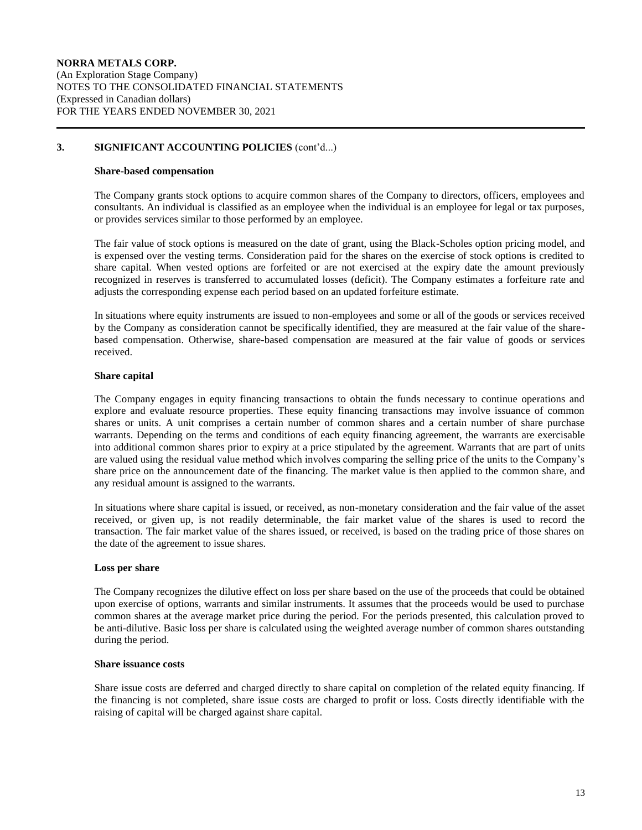(An Exploration Stage Company) NOTES TO THE CONSOLIDATED FINANCIAL STATEMENTS (Expressed in Canadian dollars) FOR THE YEARS ENDED NOVEMBER 30, 2021

# **3. SIGNIFICANT ACCOUNTING POLICIES** (cont'd...)

## **Share-based compensation**

The Company grants stock options to acquire common shares of the Company to directors, officers, employees and consultants. An individual is classified as an employee when the individual is an employee for legal or tax purposes, or provides services similar to those performed by an employee.

The fair value of stock options is measured on the date of grant, using the Black-Scholes option pricing model, and is expensed over the vesting terms. Consideration paid for the shares on the exercise of stock options is credited to share capital. When vested options are forfeited or are not exercised at the expiry date the amount previously recognized in reserves is transferred to accumulated losses (deficit). The Company estimates a forfeiture rate and adjusts the corresponding expense each period based on an updated forfeiture estimate.

In situations where equity instruments are issued to non-employees and some or all of the goods or services received by the Company as consideration cannot be specifically identified, they are measured at the fair value of the sharebased compensation. Otherwise, share-based compensation are measured at the fair value of goods or services received.

# **Share capital**

The Company engages in equity financing transactions to obtain the funds necessary to continue operations and explore and evaluate resource properties. These equity financing transactions may involve issuance of common shares or units. A unit comprises a certain number of common shares and a certain number of share purchase warrants. Depending on the terms and conditions of each equity financing agreement, the warrants are exercisable into additional common shares prior to expiry at a price stipulated by the agreement. Warrants that are part of units are valued using the residual value method which involves comparing the selling price of the units to the Company's share price on the announcement date of the financing. The market value is then applied to the common share, and any residual amount is assigned to the warrants.

In situations where share capital is issued, or received, as non-monetary consideration and the fair value of the asset received, or given up, is not readily determinable, the fair market value of the shares is used to record the transaction. The fair market value of the shares issued, or received, is based on the trading price of those shares on the date of the agreement to issue shares.

# **Loss per share**

The Company recognizes the dilutive effect on loss per share based on the use of the proceeds that could be obtained upon exercise of options, warrants and similar instruments. It assumes that the proceeds would be used to purchase common shares at the average market price during the period. For the periods presented, this calculation proved to be anti-dilutive. Basic loss per share is calculated using the weighted average number of common shares outstanding during the period.

#### **Share issuance costs**

Share issue costs are deferred and charged directly to share capital on completion of the related equity financing. If the financing is not completed, share issue costs are charged to profit or loss. Costs directly identifiable with the raising of capital will be charged against share capital.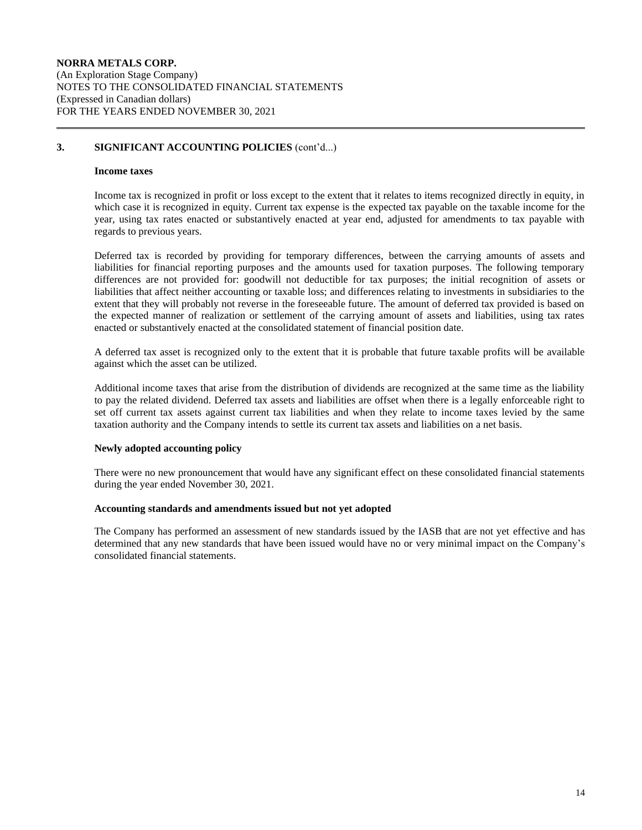(An Exploration Stage Company) NOTES TO THE CONSOLIDATED FINANCIAL STATEMENTS (Expressed in Canadian dollars) FOR THE YEARS ENDED NOVEMBER 30, 2021

# **3. SIGNIFICANT ACCOUNTING POLICIES** (cont'd...)

#### **Income taxes**

Income tax is recognized in profit or loss except to the extent that it relates to items recognized directly in equity, in which case it is recognized in equity. Current tax expense is the expected tax payable on the taxable income for the year, using tax rates enacted or substantively enacted at year end, adjusted for amendments to tax payable with regards to previous years.

Deferred tax is recorded by providing for temporary differences, between the carrying amounts of assets and liabilities for financial reporting purposes and the amounts used for taxation purposes. The following temporary differences are not provided for: goodwill not deductible for tax purposes; the initial recognition of assets or liabilities that affect neither accounting or taxable loss; and differences relating to investments in subsidiaries to the extent that they will probably not reverse in the foreseeable future. The amount of deferred tax provided is based on the expected manner of realization or settlement of the carrying amount of assets and liabilities, using tax rates enacted or substantively enacted at the consolidated statement of financial position date.

A deferred tax asset is recognized only to the extent that it is probable that future taxable profits will be available against which the asset can be utilized.

Additional income taxes that arise from the distribution of dividends are recognized at the same time as the liability to pay the related dividend. Deferred tax assets and liabilities are offset when there is a legally enforceable right to set off current tax assets against current tax liabilities and when they relate to income taxes levied by the same taxation authority and the Company intends to settle its current tax assets and liabilities on a net basis.

# **Newly adopted accounting policy**

There were no new pronouncement that would have any significant effect on these consolidated financial statements during the year ended November 30, 2021.

#### **Accounting standards and amendments issued but not yet adopted**

The Company has performed an assessment of new standards issued by the IASB that are not yet effective and has determined that any new standards that have been issued would have no or very minimal impact on the Company's consolidated financial statements.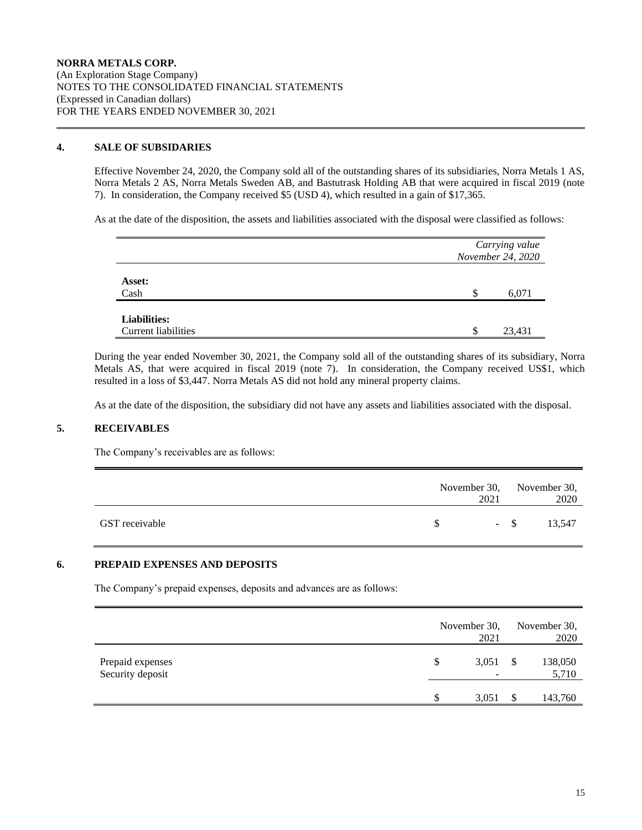(An Exploration Stage Company) NOTES TO THE CONSOLIDATED FINANCIAL STATEMENTS (Expressed in Canadian dollars) FOR THE YEARS ENDED NOVEMBER 30, 2021

# **4. SALE OF SUBSIDARIES**

Effective November 24, 2020, the Company sold all of the outstanding shares of its subsidiaries, Norra Metals 1 AS, Norra Metals 2 AS, Norra Metals Sweden AB, and Bastutrask Holding AB that were acquired in fiscal 2019 (note 7). In consideration, the Company received \$5 (USD 4), which resulted in a gain of \$17,365.

As at the date of the disposition, the assets and liabilities associated with the disposal were classified as follows:

|                                            |    | Carrying value<br>November 24, 2020 |
|--------------------------------------------|----|-------------------------------------|
| Asset:<br>Cash                             | S  | 6,071                               |
| <b>Liabilities:</b><br>Current liabilities | \$ | 23,431                              |

During the year ended November 30, 2021, the Company sold all of the outstanding shares of its subsidiary, Norra Metals AS, that were acquired in fiscal 2019 (note 7). In consideration, the Company received US\$1, which resulted in a loss of \$3,447. Norra Metals AS did not hold any mineral property claims.

As at the date of the disposition, the subsidiary did not have any assets and liabilities associated with the disposal.

#### **5. RECEIVABLES**

The Company's receivables are as follows:

|                |     | 2021 | November 30, November 30,<br>2020 |        |  |
|----------------|-----|------|-----------------------------------|--------|--|
| GST receivable | -SS |      | $-$ \$                            | 13.547 |  |

# **6. PREPAID EXPENSES AND DEPOSITS**

The Company's prepaid expenses, deposits and advances are as follows:

|                                      | November 30,<br>2021 |                 |               | November 30,<br>2020 |
|--------------------------------------|----------------------|-----------------|---------------|----------------------|
| Prepaid expenses<br>Security deposit | \$                   | 3,051<br>$\sim$ | - \$          | 138,050<br>5,710     |
|                                      | S                    | 3,051           | <sup>\$</sup> | 143,760              |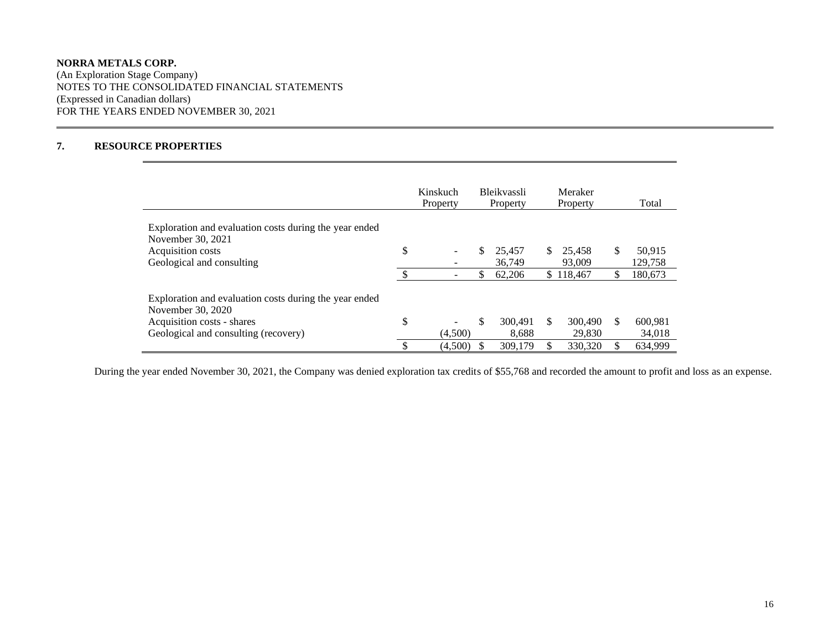$\overline{a}$ 

(An Exploration Stage Company) NOTES TO THE CONSOLIDATED FINANCIAL STATEMENTS (Expressed in Canadian dollars) FOR THE YEARS ENDED NOVEMBER 30, 2021

# **7. RESOURCE PROPERTIES**

| Kinskuch<br>Property |         |                  |                                                     | Meraker<br>Property |                                      | Total                        |
|----------------------|---------|------------------|-----------------------------------------------------|---------------------|--------------------------------------|------------------------------|
| \$                   | \$.     | 25,457           |                                                     | 25.458              | \$                                   | 50,915<br>129,758            |
|                      | \$      | 62,206           |                                                     |                     | \$                                   | 180,673                      |
| \$<br>(4,500)        | \$.     | 300.491<br>8.688 | \$.                                                 | 300,490<br>29,830   | \$                                   | 600,981<br>34,018<br>634.999 |
|                      | (4,500) |                  | <b>Bleikvassli</b><br>Property<br>36,749<br>309,179 |                     | S.<br>93,009<br>\$118,467<br>330,320 |                              |

During the year ended November 30, 2021, the Company was denied exploration tax credits of \$55,768 and recorded the amount to profit and loss as an expense.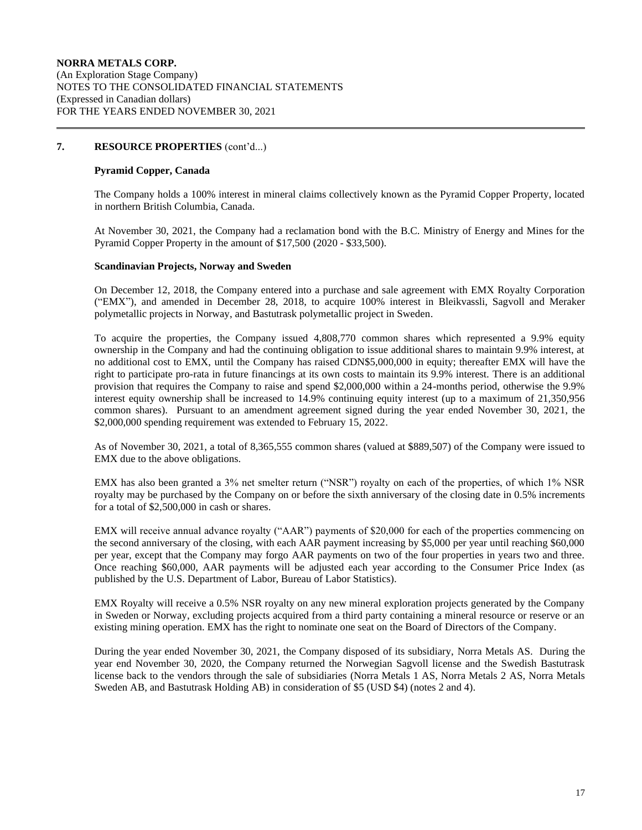(An Exploration Stage Company) NOTES TO THE CONSOLIDATED FINANCIAL STATEMENTS (Expressed in Canadian dollars) FOR THE YEARS ENDED NOVEMBER 30, 2021

# **7. RESOURCE PROPERTIES** (cont'd...)

## **Pyramid Copper, Canada**

The Company holds a 100% interest in mineral claims collectively known as the Pyramid Copper Property, located in northern British Columbia, Canada.

At November 30, 2021, the Company had a reclamation bond with the B.C. Ministry of Energy and Mines for the Pyramid Copper Property in the amount of \$17,500 (2020 - \$33,500).

## **Scandinavian Projects, Norway and Sweden**

On December 12, 2018, the Company entered into a purchase and sale agreement with EMX Royalty Corporation ("EMX"), and amended in December 28, 2018, to acquire 100% interest in Bleikvassli, Sagvoll and Meraker polymetallic projects in Norway, and Bastutrask polymetallic project in Sweden.

To acquire the properties, the Company issued 4,808,770 common shares which represented a 9.9% equity ownership in the Company and had the continuing obligation to issue additional shares to maintain 9.9% interest, at no additional cost to EMX, until the Company has raised CDN\$5,000,000 in equity; thereafter EMX will have the right to participate pro-rata in future financings at its own costs to maintain its 9.9% interest. There is an additional provision that requires the Company to raise and spend \$2,000,000 within a 24-months period, otherwise the 9.9% interest equity ownership shall be increased to 14.9% continuing equity interest (up to a maximum of 21,350,956 common shares). Pursuant to an amendment agreement signed during the year ended November 30, 2021, the \$2,000,000 spending requirement was extended to February 15, 2022.

As of November 30, 2021, a total of 8,365,555 common shares (valued at \$889,507) of the Company were issued to EMX due to the above obligations.

EMX has also been granted a 3% net smelter return ("NSR") royalty on each of the properties, of which 1% NSR royalty may be purchased by the Company on or before the sixth anniversary of the closing date in 0.5% increments for a total of \$2,500,000 in cash or shares.

EMX will receive annual advance royalty ("AAR") payments of \$20,000 for each of the properties commencing on the second anniversary of the closing, with each AAR payment increasing by \$5,000 per year until reaching \$60,000 per year, except that the Company may forgo AAR payments on two of the four properties in years two and three. Once reaching \$60,000, AAR payments will be adjusted each year according to the Consumer Price Index (as published by the U.S. Department of Labor, Bureau of Labor Statistics).

EMX Royalty will receive a 0.5% NSR royalty on any new mineral exploration projects generated by the Company in Sweden or Norway, excluding projects acquired from a third party containing a mineral resource or reserve or an existing mining operation. EMX has the right to nominate one seat on the Board of Directors of the Company.

During the year ended November 30, 2021, the Company disposed of its subsidiary, Norra Metals AS. During the year end November 30, 2020, the Company returned the Norwegian Sagvoll license and the Swedish Bastutrask license back to the vendors through the sale of subsidiaries (Norra Metals 1 AS, Norra Metals 2 AS, Norra Metals Sweden AB, and Bastutrask Holding AB) in consideration of \$5 (USD \$4) (notes 2 and 4).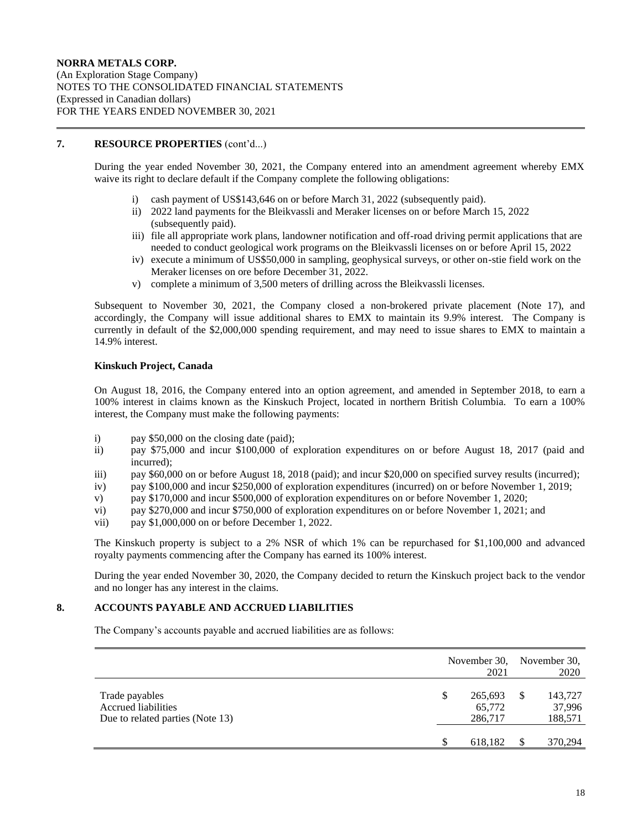(An Exploration Stage Company) NOTES TO THE CONSOLIDATED FINANCIAL STATEMENTS (Expressed in Canadian dollars) FOR THE YEARS ENDED NOVEMBER 30, 2021

# **7. RESOURCE PROPERTIES** (cont'd...)

During the year ended November 30, 2021, the Company entered into an amendment agreement whereby EMX waive its right to declare default if the Company complete the following obligations:

- i) cash payment of US\$143,646 on or before March 31, 2022 (subsequently paid).
- ii) 2022 land payments for the Bleikvassli and Meraker licenses on or before March 15, 2022 (subsequently paid).
- iii) file all appropriate work plans, landowner notification and off-road driving permit applications that are needed to conduct geological work programs on the Bleikvassli licenses on or before April 15, 2022
- iv) execute a minimum of US\$50,000 in sampling, geophysical surveys, or other on-stie field work on the Meraker licenses on ore before December 31, 2022.
- v) complete a minimum of 3,500 meters of drilling across the Bleikvassli licenses.

Subsequent to November 30, 2021, the Company closed a non-brokered private placement (Note 17), and accordingly, the Company will issue additional shares to EMX to maintain its 9.9% interest. The Company is currently in default of the \$2,000,000 spending requirement, and may need to issue shares to EMX to maintain a 14.9% interest.

# **Kinskuch Project, Canada**

On August 18, 2016, the Company entered into an option agreement, and amended in September 2018, to earn a 100% interest in claims known as the Kinskuch Project, located in northern British Columbia. To earn a 100% interest, the Company must make the following payments:

- i) pay \$50,000 on the closing date (paid);
- ii) pay \$75,000 and incur \$100,000 of exploration expenditures on or before August 18, 2017 (paid and incurred);
- iii) pay \$60,000 on or before August 18, 2018 (paid); and incur \$20,000 on specified survey results (incurred);
- iv) pay \$100,000 and incur \$250,000 of exploration expenditures (incurred) on or before November 1, 2019;
- v) pay \$170,000 and incur \$500,000 of exploration expenditures on or before November 1, 2020;
- vi) pay \$270,000 and incur \$750,000 of exploration expenditures on or before November 1, 2021; and
- vii) pay \$1,000,000 on or before December 1, 2022.

The Kinskuch property is subject to a 2% NSR of which 1% can be repurchased for \$1,100,000 and advanced royalty payments commencing after the Company has earned its 100% interest.

During the year ended November 30, 2020, the Company decided to return the Kinskuch project back to the vendor and no longer has any interest in the claims.

## **8. ACCOUNTS PAYABLE AND ACCRUED LIABILITIES**

The Company's accounts payable and accrued liabilities are as follows:

|                                                                                  |   | November 30,<br>2021         | November 30,<br>2020         |
|----------------------------------------------------------------------------------|---|------------------------------|------------------------------|
| Trade payables<br><b>Accrued</b> liabilities<br>Due to related parties (Note 13) | S | 265,693<br>65,772<br>286,717 | 143,727<br>37,996<br>188,571 |
|                                                                                  |   | 618,182                      | 370,294                      |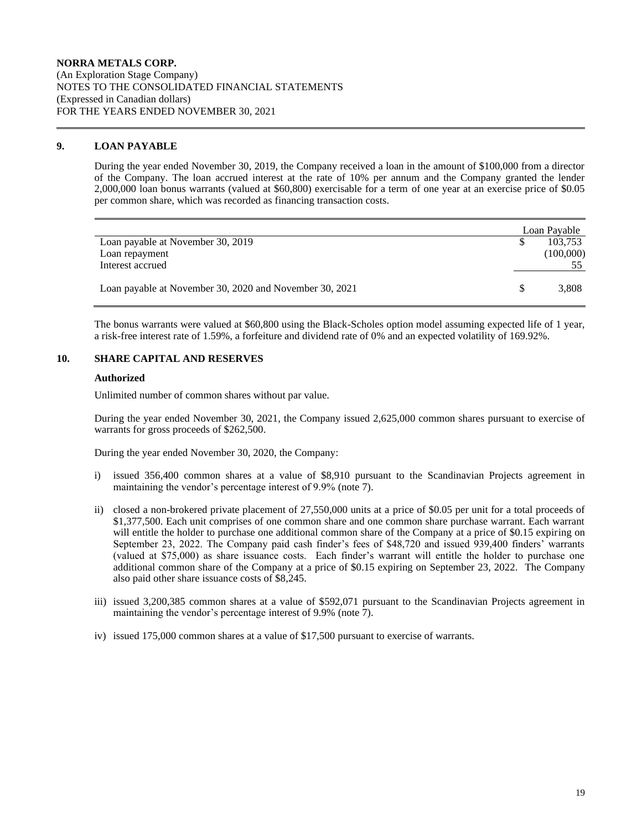(An Exploration Stage Company) NOTES TO THE CONSOLIDATED FINANCIAL STATEMENTS (Expressed in Canadian dollars) FOR THE YEARS ENDED NOVEMBER 30, 2021

#### **9. LOAN PAYABLE**

During the year ended November 30, 2019, the Company received a loan in the amount of \$100,000 from a director of the Company. The loan accrued interest at the rate of 10% per annum and the Company granted the lender 2,000,000 loan bonus warrants (valued at \$60,800) exercisable for a term of one year at an exercise price of \$0.05 per common share, which was recorded as financing transaction costs.

|                                                         | Loan Payable |
|---------------------------------------------------------|--------------|
| Loan payable at November 30, 2019                       | 103.753      |
| Loan repayment                                          | (100,000)    |
| Interest accrued                                        |              |
| Loan payable at November 30, 2020 and November 30, 2021 | 3.808        |

The bonus warrants were valued at \$60,800 using the Black-Scholes option model assuming expected life of 1 year, a risk-free interest rate of 1.59%, a forfeiture and dividend rate of 0% and an expected volatility of 169.92%.

# **10. SHARE CAPITAL AND RESERVES**

#### **Authorized**

Unlimited number of common shares without par value.

During the year ended November 30, 2021, the Company issued 2,625,000 common shares pursuant to exercise of warrants for gross proceeds of \$262,500.

During the year ended November 30, 2020, the Company:

- i) issued 356,400 common shares at a value of \$8,910 pursuant to the Scandinavian Projects agreement in maintaining the vendor's percentage interest of 9.9% (note 7).
- ii) closed a non-brokered private placement of 27,550,000 units at a price of \$0.05 per unit for a total proceeds of \$1,377,500. Each unit comprises of one common share and one common share purchase warrant. Each warrant will entitle the holder to purchase one additional common share of the Company at a price of \$0.15 expiring on September 23, 2022. The Company paid cash finder's fees of \$48,720 and issued 939,400 finders' warrants (valued at \$75,000) as share issuance costs. Each finder's warrant will entitle the holder to purchase one additional common share of the Company at a price of \$0.15 expiring on September 23, 2022. The Company also paid other share issuance costs of \$8,245.
- iii) issued 3,200,385 common shares at a value of \$592,071 pursuant to the Scandinavian Projects agreement in maintaining the vendor's percentage interest of 9.9% (note 7).
- iv) issued 175,000 common shares at a value of \$17,500 pursuant to exercise of warrants.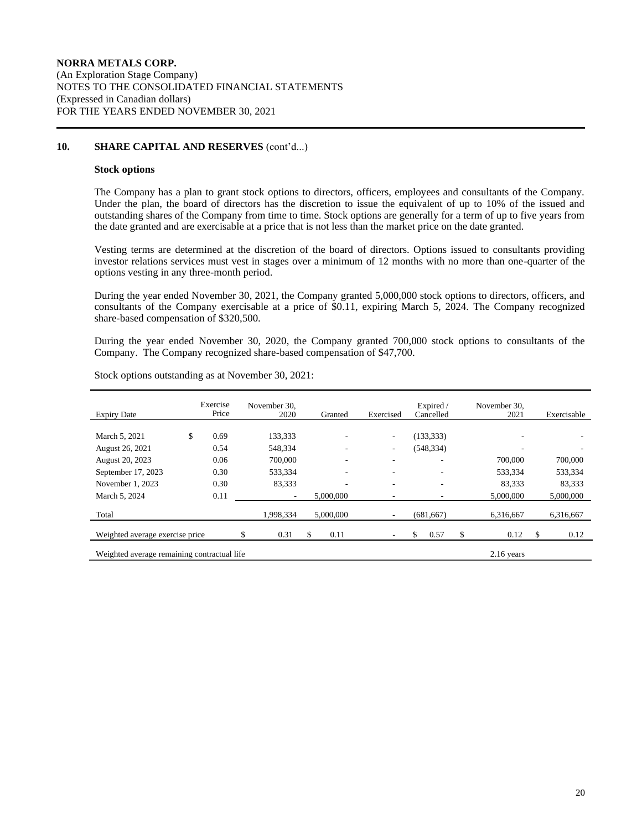(An Exploration Stage Company) NOTES TO THE CONSOLIDATED FINANCIAL STATEMENTS (Expressed in Canadian dollars) FOR THE YEARS ENDED NOVEMBER 30, 2021

# **10. SHARE CAPITAL AND RESERVES** (cont'd...)

#### **Stock options**

The Company has a plan to grant stock options to directors, officers, employees and consultants of the Company. Under the plan, the board of directors has the discretion to issue the equivalent of up to 10% of the issued and outstanding shares of the Company from time to time. Stock options are generally for a term of up to five years from the date granted and are exercisable at a price that is not less than the market price on the date granted.

Vesting terms are determined at the discretion of the board of directors. Options issued to consultants providing investor relations services must vest in stages over a minimum of 12 months with no more than one-quarter of the options vesting in any three-month period.

During the year ended November 30, 2021, the Company granted 5,000,000 stock options to directors, officers, and consultants of the Company exercisable at a price of \$0.11, expiring March 5, 2024. The Company recognized share-based compensation of \$320,500.

During the year ended November 30, 2020, the Company granted 700,000 stock options to consultants of the Company. The Company recognized share-based compensation of \$47,700.

| <b>Expiry Date</b>                                          |    | Exercise<br>Price | November 30.<br>2020 |    | Granted                  | Exercised                | Expired /<br>Cancelled | November 30.<br>2021 |    | Exercisable |
|-------------------------------------------------------------|----|-------------------|----------------------|----|--------------------------|--------------------------|------------------------|----------------------|----|-------------|
| March 5, 2021                                               | \$ | 0.69              | 133,333              |    |                          | $\sim$                   | (133, 333)             | ٠                    |    |             |
| August 26, 2021                                             |    | 0.54              | 548,334              |    | $\overline{\phantom{a}}$ | $\overline{\phantom{a}}$ | (548, 334)             | -                    |    | ۰           |
| August 20, 2023                                             |    | 0.06              | 700,000              |    |                          | ۰                        | ۰                      | 700,000              |    | 700,000     |
| September 17, 2023                                          |    | 0.30              | 533.334              |    | ٠                        | ٠                        | ٠                      | 533.334              |    | 533,334     |
| November 1, 2023                                            |    | 0.30              | 83,333               |    | $\overline{\phantom{a}}$ | ٠                        | ٠                      | 83.333               |    | 83.333      |
| March 5, 2024                                               |    | 0.11              | $\sim$               |    | 5,000,000                | ۰                        |                        | 5,000,000            |    | 5,000,000   |
| Total                                                       |    |                   | 1,998,334            |    | 5,000,000                |                          | (681, 667)             | 6,316,667            |    | 6,316,667   |
| Weighted average exercise price                             |    |                   | \$<br>0.31           | \$ | 0.11                     |                          | \$<br>0.57             | \$<br>0.12           | \$ | 0.12        |
| Weighted average remaining contractual life<br>$2.16$ years |    |                   |                      |    |                          |                          |                        |                      |    |             |

Stock options outstanding as at November 30, 2021: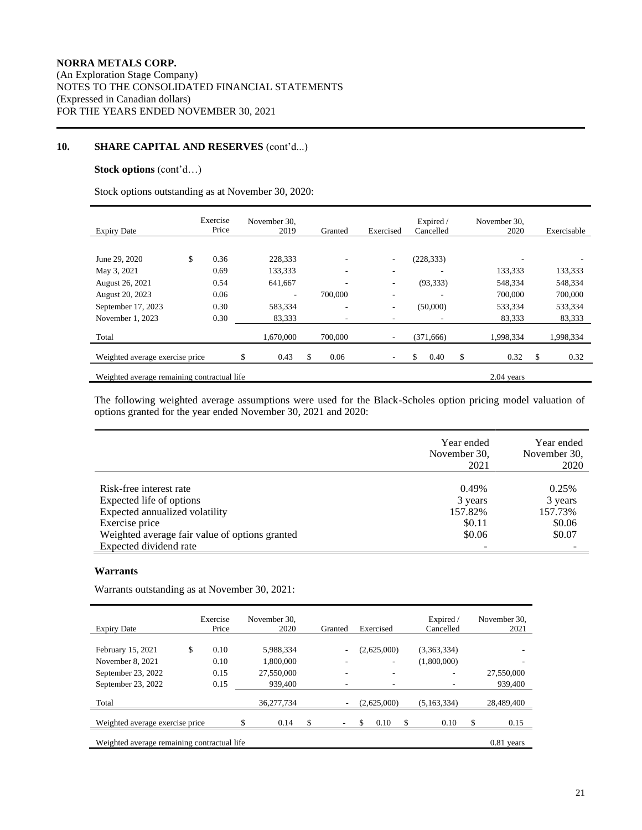(An Exploration Stage Company) NOTES TO THE CONSOLIDATED FINANCIAL STATEMENTS (Expressed in Canadian dollars) FOR THE YEARS ENDED NOVEMBER 30, 2021

# **10. SHARE CAPITAL AND RESERVES** (cont'd...)

# **Stock options** (cont'd…)

Stock options outstanding as at November 30, 2020:

| <b>Expiry Date</b>                                        |    | Exercise<br>Price | November 30.<br>2019 |    | Granted                  | Exercised | Expired /<br>Cancelled | November 30.<br>2020 |    | Exercisable |
|-----------------------------------------------------------|----|-------------------|----------------------|----|--------------------------|-----------|------------------------|----------------------|----|-------------|
| June 29, 2020                                             | \$ | 0.36              | 228,333              |    |                          | ٠         | (228, 333)             | ۰                    |    |             |
| May 3, 2021                                               |    | 0.69              | 133,333              |    |                          | ٠         | ۰                      | 133,333              |    | 133,333     |
| August 26, 2021                                           |    | 0.54              | 641,667              |    | ۰                        | ٠         | (93, 333)              | 548,334              |    | 548,334     |
| August 20, 2023                                           |    | 0.06              | ۰.                   |    | 700,000                  | ۰         | ۰                      | 700,000              |    | 700,000     |
| September 17, 2023                                        |    | 0.30              | 583,334              |    | $\overline{\phantom{a}}$ | ٠         | (50,000)               | 533,334              |    | 533,334     |
| November 1, 2023                                          |    | 0.30              | 83,333               |    |                          |           |                        | 83,333               |    | 83,333      |
| Total                                                     |    |                   | 1.670.000            |    | 700,000                  |           | (371,666)              | 1,998,334            |    | 1,998,334   |
| Weighted average exercise price                           |    |                   | 0.43                 | \$ | 0.06                     |           | \$<br>0.40             | \$<br>0.32           | £. | 0.32        |
| Weighted average remaining contractual life<br>2.04 years |    |                   |                      |    |                          |           |                        |                      |    |             |

The following weighted average assumptions were used for the Black-Scholes option pricing model valuation of options granted for the year ended November 30, 2021 and 2020:

|                                                | Year ended<br>November 30.<br>2021 | Year ended<br>November 30,<br>2020 |
|------------------------------------------------|------------------------------------|------------------------------------|
|                                                |                                    |                                    |
| Risk-free interest rate                        | 0.49%                              | 0.25%                              |
| Expected life of options                       | 3 years                            | 3 years                            |
| Expected annualized volatility                 | 157.82%                            | 157.73%                            |
| Exercise price                                 | \$0.11                             | \$0.06                             |
| Weighted average fair value of options granted | \$0.06                             | \$0.07                             |
| Expected dividend rate                         |                                    |                                    |

# **Warrants**

Warrants outstanding as at November 30, 2021:

| <b>Expiry Date</b>                          | Exercise<br>Price | November 30.<br>2020 | Granted |    | Exercised   |     | Expired /<br>Cancelled | November 30.<br>2021 |
|---------------------------------------------|-------------------|----------------------|---------|----|-------------|-----|------------------------|----------------------|
|                                             |                   |                      |         |    |             |     |                        |                      |
| February 15, 2021                           | \$<br>0.10        | 5.988.334            | ۰       |    | (2,625,000) |     | (3,363,334)            |                      |
| November 8, 2021                            | 0.10              | 1.800.000            |         |    | ۰           |     | (1,800,000)            |                      |
| September 23, 2022                          | 0.15              | 27,550,000           |         |    | -           |     |                        | 27,550,000           |
| September 23, 2022                          | 0.15              | 939,400              | ۰       |    | -           |     | ۰                      | 939,400              |
| Total                                       |                   | 36,277,734           | ٠       |    | (2,625,000) |     | (5, 163, 334)          | 28,489,400           |
| Weighted average exercise price             |                   | 0.14                 | \$      | £. | 0.10        | \$. | 0.10                   | \$<br>0.15           |
| Weighted average remaining contractual life |                   |                      |         |    |             |     |                        | $0.81$ years         |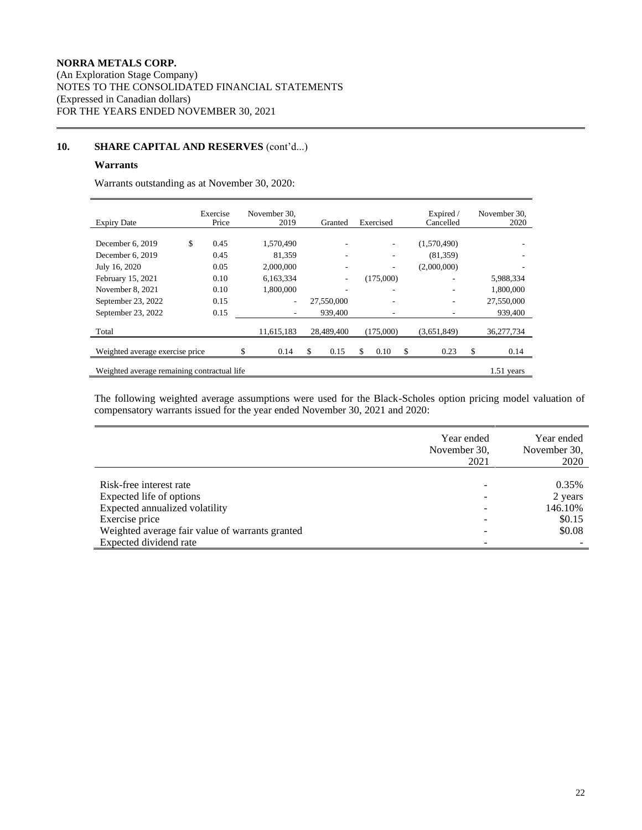(An Exploration Stage Company) NOTES TO THE CONSOLIDATED FINANCIAL STATEMENTS (Expressed in Canadian dollars) FOR THE YEARS ENDED NOVEMBER 30, 2021

# **10. SHARE CAPITAL AND RESERVES** (cont'd...)

#### **Warrants**

Warrants outstanding as at November 30, 2020:

| <b>Expiry Date</b>                          | Exercise<br>Price | November 30.<br>2019     |                | Granted                  |    | Exercised                |           | Expired /<br>Cancelled |     | November 30.<br>2020 |  |  |
|---------------------------------------------|-------------------|--------------------------|----------------|--------------------------|----|--------------------------|-----------|------------------------|-----|----------------------|--|--|
| December 6, 2019                            | \$<br>0.45        | 1,570,490                |                |                          |    | $\overline{\phantom{0}}$ |           | (1,570,490)            |     |                      |  |  |
| December 6, 2019                            | 0.45              | 81.359                   |                |                          |    |                          |           | (81,359)               |     |                      |  |  |
| July 16, 2020                               | 0.05              | 2,000,000                |                |                          |    |                          |           | (2,000,000)            |     |                      |  |  |
| February 15, 2021                           | 0.10              | 6.163.334                | (175,000)<br>٠ |                          | ۰  |                          | 5,988,334 |                        |     |                      |  |  |
| November 8, 2021                            | 0.10              | 1.800.000                |                | $\overline{\phantom{a}}$ |    | ۰                        |           |                        |     | 1,800,000            |  |  |
| September 23, 2022                          | 0.15              | $\overline{\phantom{a}}$ |                | 27,550,000               | ۰  |                          |           | ۰                      |     | 27,550,000           |  |  |
| September 23, 2022                          | 0.15              |                          |                | 939,400                  |    |                          |           |                        |     | 939,400              |  |  |
| Total                                       |                   | 11,615,183               |                | 28,489,400               |    | (175,000)                |           | (3,651,849)            |     | 36,277,734           |  |  |
| Weighted average exercise price             |                   | 0.14                     | \$.            | 0.15                     | S. | 0.10                     | \$        | 0.23                   | \$. | 0.14                 |  |  |
| Weighted average remaining contractual life |                   |                          |                |                          |    |                          |           |                        |     | $1.51$ years         |  |  |

The following weighted average assumptions were used for the Black-Scholes option pricing model valuation of compensatory warrants issued for the year ended November 30, 2021 and 2020:

|                                                 | Year ended<br>November 30,<br>2021 | Year ended<br>November 30,<br>2020 |
|-------------------------------------------------|------------------------------------|------------------------------------|
|                                                 |                                    |                                    |
| Risk-free interest rate                         |                                    | 0.35%                              |
| Expected life of options                        |                                    | 2 years                            |
| Expected annualized volatility                  |                                    | 146.10%                            |
| Exercise price                                  |                                    | \$0.15                             |
| Weighted average fair value of warrants granted |                                    | \$0.08                             |
| Expected dividend rate                          |                                    |                                    |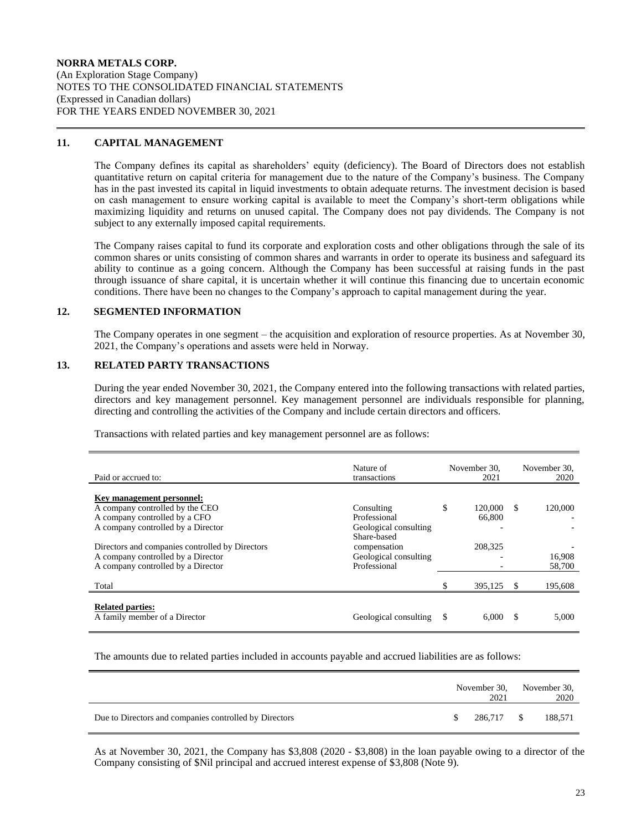(An Exploration Stage Company) NOTES TO THE CONSOLIDATED FINANCIAL STATEMENTS (Expressed in Canadian dollars) FOR THE YEARS ENDED NOVEMBER 30, 2021

## **11. CAPITAL MANAGEMENT**

The Company defines its capital as shareholders' equity (deficiency). The Board of Directors does not establish quantitative return on capital criteria for management due to the nature of the Company's business. The Company has in the past invested its capital in liquid investments to obtain adequate returns. The investment decision is based on cash management to ensure working capital is available to meet the Company's short-term obligations while maximizing liquidity and returns on unused capital. The Company does not pay dividends. The Company is not subject to any externally imposed capital requirements.

The Company raises capital to fund its corporate and exploration costs and other obligations through the sale of its common shares or units consisting of common shares and warrants in order to operate its business and safeguard its ability to continue as a going concern. Although the Company has been successful at raising funds in the past through issuance of share capital, it is uncertain whether it will continue this financing due to uncertain economic conditions. There have been no changes to the Company's approach to capital management during the year.

# **12. SEGMENTED INFORMATION**

The Company operates in one segment – the acquisition and exploration of resource properties. As at November 30, 2021, the Company's operations and assets were held in Norway.

#### **13. RELATED PARTY TRANSACTIONS**

During the year ended November 30, 2021, the Company entered into the following transactions with related parties, directors and key management personnel. Key management personnel are individuals responsible for planning, directing and controlling the activities of the Company and include certain directors and officers.

Transactions with related parties and key management personnel are as follows:

| Paid or accrued to:                                                                                                         | Nature of<br>transactions                                            | November 30.<br>2021 |         | November 30.<br>2020 |
|-----------------------------------------------------------------------------------------------------------------------------|----------------------------------------------------------------------|----------------------|---------|----------------------|
| Key management personnel:                                                                                                   |                                                                      |                      |         |                      |
| A company controlled by the CEO                                                                                             | Consulting                                                           | \$                   | 120,000 | 120,000<br><b>S</b>  |
| A company controlled by a CFO                                                                                               | Professional                                                         | 66,800               |         |                      |
| A company controlled by a Director                                                                                          | Geological consulting                                                |                      |         |                      |
| Directors and companies controlled by Directors<br>A company controlled by a Director<br>A company controlled by a Director | Share-based<br>compensation<br>Geological consulting<br>Professional | 208,325              |         | 16,908<br>58,700     |
|                                                                                                                             |                                                                      |                      |         |                      |
| Total                                                                                                                       |                                                                      | S<br>395.125         |         | 195,608              |
| <b>Related parties:</b><br>A family member of a Director                                                                    | Geological consulting                                                | S                    | 6.000   | 5.000                |

The amounts due to related parties included in accounts payable and accrued liabilities are as follows:

|                                                        |     | 2021       | November 30, November 30,<br>2020 |
|--------------------------------------------------------|-----|------------|-----------------------------------|
| Due to Directors and companies controlled by Directors | -SS | 286.717 \$ | 188.571                           |

As at November 30, 2021, the Company has \$3,808 (2020 - \$3,808) in the loan payable owing to a director of the Company consisting of \$Nil principal and accrued interest expense of \$3,808 (Note 9).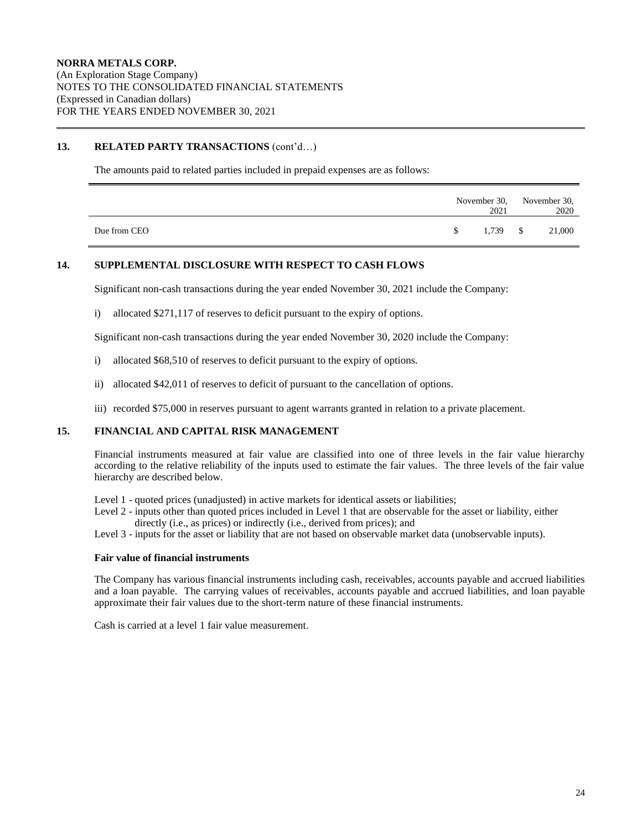(An Exploration Stage Company) NOTES TO THE CONSOLIDATED FINANCIAL STATEMENTS (Expressed in Canadian dollars) FOR THE YEARS ENDED NOVEMBER 30, 2021

#### **13. RELATED PARTY TRANSACTIONS** (cont'd…)

The amounts paid to related parties included in prepaid expenses are as follows:

|              | 2021                   | November 30, November 30,<br>2020 |
|--------------|------------------------|-----------------------------------|
| Due from CEO | $\frac{1}{3}$ 1,739 \$ | 21,000                            |

# **14. SUPPLEMENTAL DISCLOSURE WITH RESPECT TO CASH FLOWS**

Significant non-cash transactions during the year ended November 30, 2021 include the Company:

i) allocated \$271,117 of reserves to deficit pursuant to the expiry of options.

Significant non-cash transactions during the year ended November 30, 2020 include the Company:

- i) allocated \$68,510 of reserves to deficit pursuant to the expiry of options.
- ii) allocated \$42,011 of reserves to deficit of pursuant to the cancellation of options.
- iii) recorded \$75,000 in reserves pursuant to agent warrants granted in relation to a private placement.

## **15. FINANCIAL AND CAPITAL RISK MANAGEMENT**

Financial instruments measured at fair value are classified into one of three levels in the fair value hierarchy according to the relative reliability of the inputs used to estimate the fair values. The three levels of the fair value hierarchy are described below.

- Level 1 quoted prices (unadjusted) in active markets for identical assets or liabilities;
- Level 2 inputs other than quoted prices included in Level 1 that are observable for the asset or liability, either directly (i.e., as prices) or indirectly (i.e., derived from prices); and
- Level 3 inputs for the asset or liability that are not based on observable market data (unobservable inputs).

#### **Fair value of financial instruments**

The Company has various financial instruments including cash, receivables, accounts payable and accrued liabilities and a loan payable. The carrying values of receivables, accounts payable and accrued liabilities, and loan payable approximate their fair values due to the short-term nature of these financial instruments.

Cash is carried at a level 1 fair value measurement.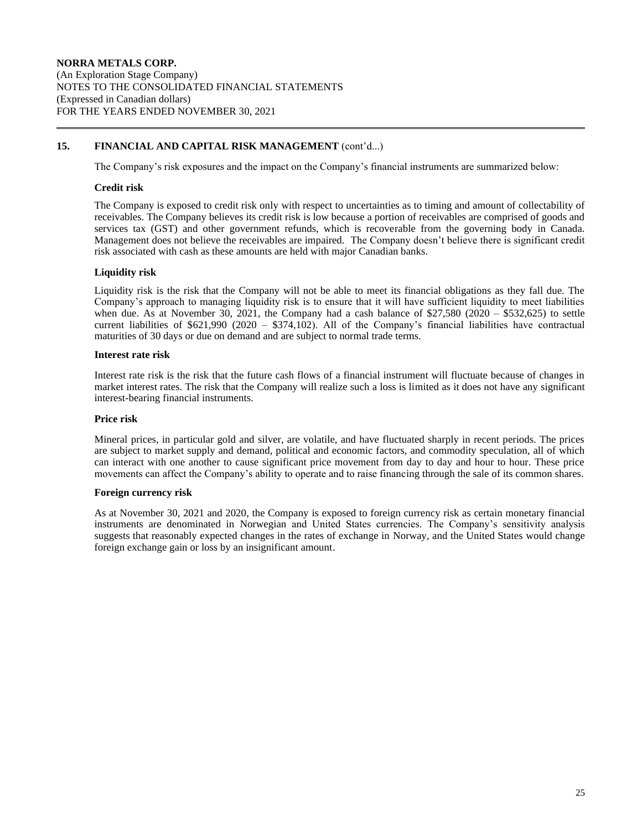(An Exploration Stage Company) NOTES TO THE CONSOLIDATED FINANCIAL STATEMENTS (Expressed in Canadian dollars) FOR THE YEARS ENDED NOVEMBER 30, 2021

# **15. FINANCIAL AND CAPITAL RISK MANAGEMENT** (cont'd...)

The Company's risk exposures and the impact on the Company's financial instruments are summarized below:

#### **Credit risk**

The Company is exposed to credit risk only with respect to uncertainties as to timing and amount of collectability of receivables. The Company believes its credit risk is low because a portion of receivables are comprised of goods and services tax (GST) and other government refunds, which is recoverable from the governing body in Canada. Management does not believe the receivables are impaired. The Company doesn't believe there is significant credit risk associated with cash as these amounts are held with major Canadian banks.

# **Liquidity risk**

Liquidity risk is the risk that the Company will not be able to meet its financial obligations as they fall due. The Company's approach to managing liquidity risk is to ensure that it will have sufficient liquidity to meet liabilities when due. As at November 30, 2021, the Company had a cash balance of \$27,580 (2020 – \$532,625) to settle current liabilities of \$621,990 (2020 – \$374,102). All of the Company's financial liabilities have contractual maturities of 30 days or due on demand and are subject to normal trade terms.

#### **Interest rate risk**

Interest rate risk is the risk that the future cash flows of a financial instrument will fluctuate because of changes in market interest rates. The risk that the Company will realize such a loss is limited as it does not have any significant interest-bearing financial instruments.

#### **Price risk**

Mineral prices, in particular gold and silver, are volatile, and have fluctuated sharply in recent periods. The prices are subject to market supply and demand, political and economic factors, and commodity speculation, all of which can interact with one another to cause significant price movement from day to day and hour to hour. These price movements can affect the Company's ability to operate and to raise financing through the sale of its common shares.

#### **Foreign currency risk**

As at November 30, 2021 and 2020, the Company is exposed to foreign currency risk as certain monetary financial instruments are denominated in Norwegian and United States currencies. The Company's sensitivity analysis suggests that reasonably expected changes in the rates of exchange in Norway, and the United States would change foreign exchange gain or loss by an insignificant amount.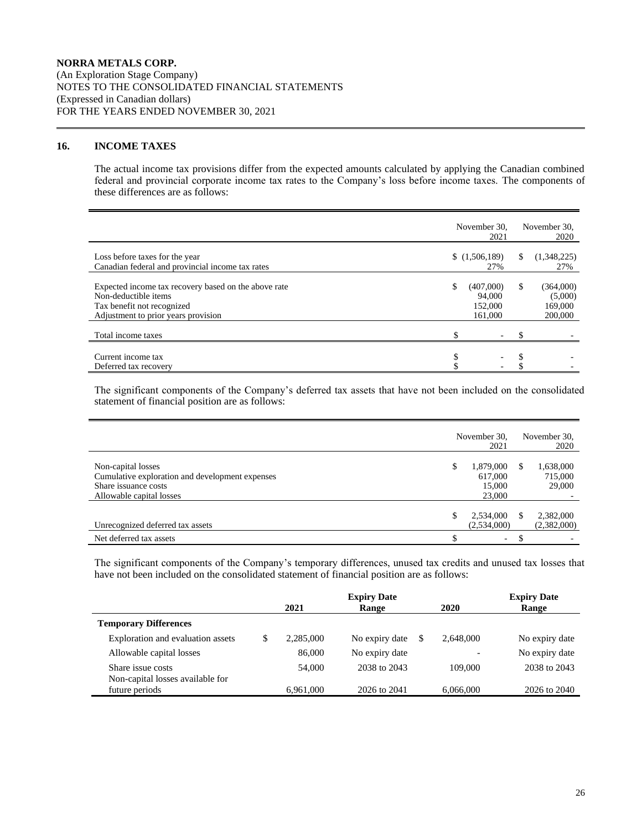(An Exploration Stage Company) NOTES TO THE CONSOLIDATED FINANCIAL STATEMENTS (Expressed in Canadian dollars) FOR THE YEARS ENDED NOVEMBER 30, 2021

# **16. INCOME TAXES**

The actual income tax provisions differ from the expected amounts calculated by applying the Canadian combined federal and provincial corporate income tax rates to the Company's loss before income taxes. The components of these differences are as follows:

|                                                      | November 30,<br>2021 | November 30,<br>2020     |
|------------------------------------------------------|----------------------|--------------------------|
| Loss before taxes for the year                       | (1,506,189)          | (1,348,225)              |
| Canadian federal and provincial income tax rates     | 27%                  | 27%                      |
| Expected income tax recovery based on the above rate | (407,000)            | (364,000)                |
| Non-deductible items                                 | 94,000               | (5,000)                  |
| Tax benefit not recognized                           | 152,000              | 169,000                  |
| Adjustment to prior years provision                  | 161,000              | 200,000                  |
| Total income taxes                                   | $\sim$               |                          |
| Current income tax                                   | $\sim$               | $\overline{\phantom{a}}$ |
| Deferred tax recovery                                | $\sim$               | $\overline{\phantom{a}}$ |

The significant components of the Company's deferred tax assets that have not been included on the consolidated statement of financial position are as follows:

|                                                                                                                           |    | November 30,<br>2021                     |    | November 30,<br>2020           |
|---------------------------------------------------------------------------------------------------------------------------|----|------------------------------------------|----|--------------------------------|
| Non-capital losses<br>Cumulative exploration and development expenses<br>Share issuance costs<br>Allowable capital losses | \$ | 1,879,000<br>617,000<br>15,000<br>23,000 | S. | 1,638,000<br>715,000<br>29,000 |
| Unrecognized deferred tax assets                                                                                          | S  | 2,534,000<br>(2,534,000)                 | S  | 2,382,000<br>(2,382,000)       |
| Net deferred tax assets                                                                                                   |    | $\overline{\phantom{0}}$                 |    |                                |

The significant components of the Company's temporary differences, unused tax credits and unused tax losses that have not been included on the consolidated statement of financial position are as follows:

|                                   | <b>Expiry Date</b> |           |                     | <b>Expiry Date</b> |                |
|-----------------------------------|--------------------|-----------|---------------------|--------------------|----------------|
|                                   |                    | 2021      | Range               | 2020               | Range          |
| <b>Temporary Differences</b>      |                    |           |                     |                    |                |
| Exploration and evaluation assets | \$                 | 2,285,000 | No expiry date<br>S | 2,648,000          | No expiry date |
| Allowable capital losses          |                    | 86,000    | No expiry date      |                    | No expiry date |
| Share issue costs                 |                    | 54,000    | 2038 to 2043        | 109,000            | 2038 to 2043   |
| Non-capital losses available for  |                    |           |                     |                    |                |
| future periods                    |                    | 6.961,000 | 2026 to 2041        | 6.066.000          | 2026 to 2040   |